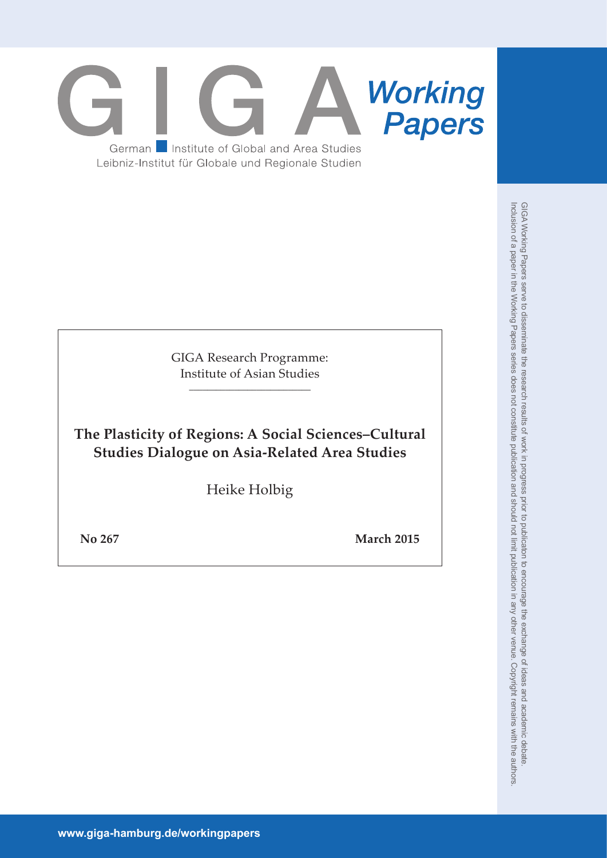

GIGA Research Programme: Institute of Asian Studies \_\_\_\_\_\_\_\_\_\_\_\_\_\_\_\_\_\_\_\_\_\_\_\_\_\_\_

**The Plasticity of Regions: A Social Sciences–Cultural Studies Dialogue on Asia-Related Area Studies**

Heike Holbig

**No 267 March 2015**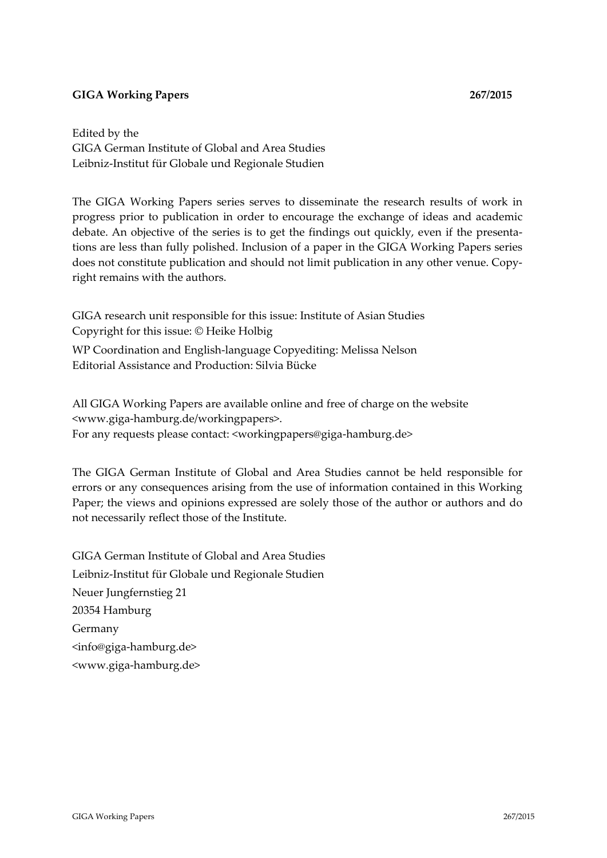## **GIGA Working Papers 267/2015**

Edited by the GIGA German Institute of Global and Area Studies Leibniz‐Institut für Globale und Regionale Studien

The GIGA Working Papers series serves to disseminate the research results of work in progress prior to publication in order to encourage the exchange of ideas and academic debate. An objective of the series is to get the findings out quickly, even if the presenta‐ tions are less than fully polished. Inclusion of a paper in the GIGA Working Papers series does not constitute publication and should not limit publication in any other venue. Copyright remains with the authors.

GIGA research unit responsible for this issue: Institute of Asian Studies Copyright for this issue: © Heike Holbig WP Coordination and English‐language Copyediting: Melissa Nelson Editorial Assistance and Production: Silvia Bücke

All GIGA Working Papers are available online and free of charge on the website <www.giga‐hamburg.de/workingpapers>. For any requests please contact: <workingpapers@giga-hamburg.de>

The GIGA German Institute of Global and Area Studies cannot be held responsible for errors or any consequences arising from the use of information contained in this Working Paper; the views and opinions expressed are solely those of the author or authors and do not necessarily reflect those of the Institute.

GIGA German Institute of Global and Area Studies Leibniz‐Institut für Globale und Regionale Studien Neuer Jungfernstieg 21 20354 Hamburg Germany <info@giga‐hamburg.de> <www.giga‐hamburg.de>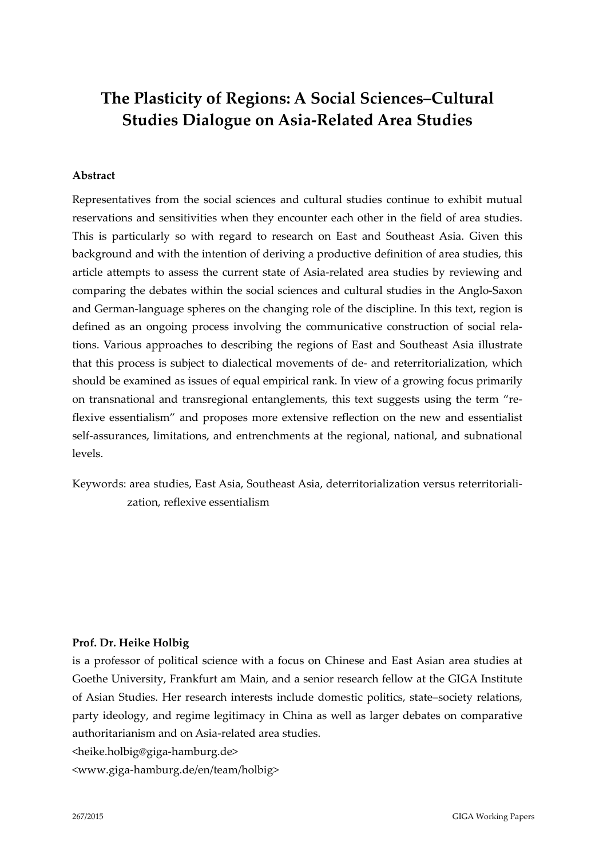# **The Plasticity of Regions: A Social Sciences–Cultural Studies Dialogue on Asia‐Related Area Studies**

## **Abstract**

Representatives from the social sciences and cultural studies continue to exhibit mutual reservations and sensitivities when they encounter each other in the field of area studies. This is particularly so with regard to research on East and Southeast Asia. Given this background and with the intention of deriving a productive definition of area studies, this article attempts to assess the current state of Asia‐related area studies by reviewing and comparing the debates within the social sciences and cultural studies in the Anglo‐Saxon and German‐language spheres on the changing role of the discipline. In this text, region is defined as an ongoing process involving the communicative construction of social rela‐ tions. Various approaches to describing the regions of East and Southeast Asia illustrate that this process is subject to dialectical movements of de‐ and reterritorialization, which should be examined as issues of equal empirical rank. In view of a growing focus primarily on transnational and transregional entanglements, this text suggests using the term "re‐ flexive essentialism" and proposes more extensive reflection on the new and essentialist self-assurances, limitations, and entrenchments at the regional, national, and subnational levels.

Keywords: area studies, East Asia, Southeast Asia, deterritorialization versus reterritoriali‐ zation, reflexive essentialism

## **Prof. Dr. Heike Holbig**

is a professor of political science with a focus on Chinese and East Asian area studies at Goethe University, Frankfurt am Main, and a senior research fellow at the GIGA Institute of Asian Studies. Her research interests include domestic politics, state–society relations, party ideology, and regime legitimacy in China as well as larger debates on comparative authoritarianism and on Asia‐related area studies.

<heike.holbig@giga‐hamburg.de>

<www.giga‐hamburg.de/en/team/holbig>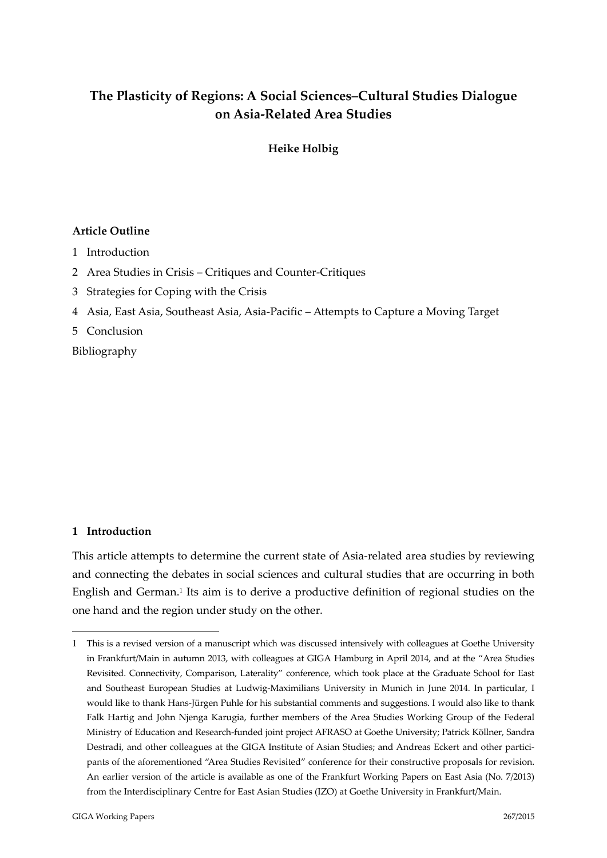## **The Plasticity of Regions: A Social Sciences–Cultural Studies Dialogue on Asia‐Related Area Studies**

## **Heike Holbig**

## **Article Outline**

- 1 Introduction
- 2 Area Studies in Crisis Critiques and Counter‐Critiques
- 3 Strategies for Coping with the Crisis
- 4 Asia, East Asia, Southeast Asia, Asia‐Pacific Attempts to Capture a Moving Target

5 Conclusion

Bibliography

## **1 Introduction**

1

This article attempts to determine the current state of Asia‐related area studies by reviewing and connecting the debates in social sciences and cultural studies that are occurring in both English and German.<sup>1</sup> Its aim is to derive a productive definition of regional studies on the one hand and the region under study on the other.

<sup>1</sup> This is a revised version of a manuscript which was discussed intensively with colleagues at Goethe University in Frankfurt/Main in autumn 2013, with colleagues at GIGA Hamburg in April 2014, and at the "Area Studies Revisited. Connectivity, Comparison, Laterality" conference, which took place at the Graduate School for East and Southeast European Studies at Ludwig‐Maximilians University in Munich in June 2014. In particular, I would like to thank Hans‐Jürgen Puhle for his substantial comments and suggestions. I would also like to thank Falk Hartig and John Njenga Karugia, further members of the Area Studies Working Group of the Federal Ministry of Education and Research‐funded joint project AFRASO at Goethe University; Patrick Köllner, Sandra Destradi, and other colleagues at the GIGA Institute of Asian Studies; and Andreas Eckert and other participants of the aforementioned "Area Studies Revisited" conference for their constructive proposals for revision. An earlier version of the article is available as one of the Frankfurt Working Papers on East Asia (No. 7/2013) from the Interdisciplinary Centre for East Asian Studies (IZO) at Goethe University in Frankfurt/Main.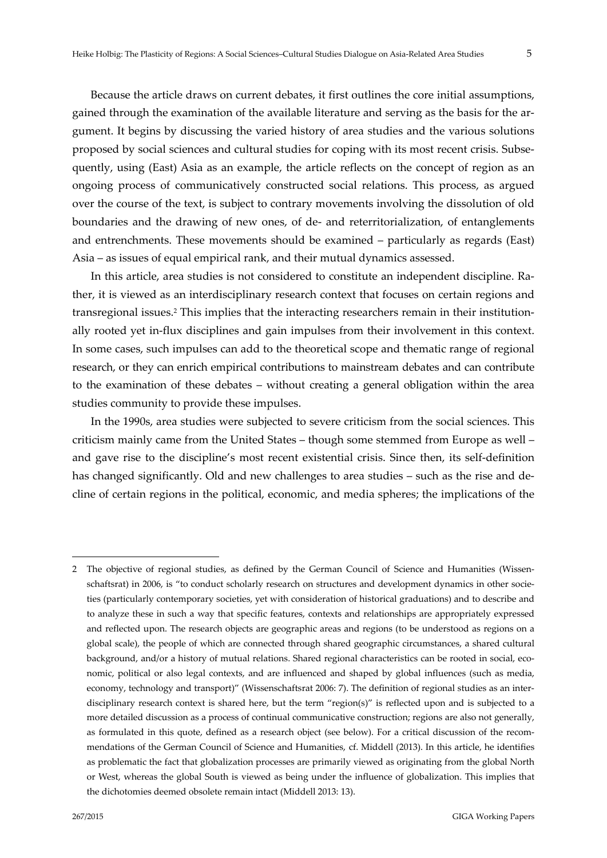Because the article draws on current debates, it first outlines the core initial assumptions, gained through the examination of the available literature and serving as the basis for the argument. It begins by discussing the varied history of area studies and the various solutions proposed by social sciences and cultural studies for coping with its most recent crisis. Subsequently, using (East) Asia as an example, the article reflects on the concept of region as an ongoing process of communicatively constructed social relations. This process, as argued over the course of the text, is subject to contrary movements involving the dissolution of old boundaries and the drawing of new ones, of de‐ and reterritorialization, of entanglements and entrenchments. These movements should be examined – particularly as regards (East) Asia – as issues of equal empirical rank, and their mutual dynamics assessed.

In this article, area studies is not considered to constitute an independent discipline. Rather, it is viewed as an interdisciplinary research context that focuses on certain regions and transregional issues.2 This implies that the interacting researchers remain in their institution‐ ally rooted yet in‐flux disciplines and gain impulses from their involvement in this context. In some cases, such impulses can add to the theoretical scope and thematic range of regional research, or they can enrich empirical contributions to mainstream debates and can contribute to the examination of these debates – without creating a general obligation within the area studies community to provide these impulses.

In the 1990s, area studies were subjected to severe criticism from the social sciences. This criticism mainly came from the United States – though some stemmed from Europe as well – and gave rise to the discipline's most recent existential crisis. Since then, its self-definition has changed significantly. Old and new challenges to area studies – such as the rise and decline of certain regions in the political, economic, and media spheres; the implications of the

<sup>2</sup> The objective of regional studies, as defined by the German Council of Science and Humanities (Wissenschaftsrat) in 2006, is "to conduct scholarly research on structures and development dynamics in other societies (particularly contemporary societies, yet with consideration of historical graduations) and to describe and to analyze these in such a way that specific features, contexts and relationships are appropriately expressed and reflected upon. The research objects are geographic areas and regions (to be understood as regions on a global scale), the people of which are connected through shared geographic circumstances, a shared cultural background, and/or a history of mutual relations. Shared regional characteristics can be rooted in social, economic, political or also legal contexts, and are influenced and shaped by global influences (such as media, economy, technology and transport)" (Wissenschaftsrat 2006: 7). The definition of regional studies as an interdisciplinary research context is shared here, but the term "region(s)" is reflected upon and is subjected to a more detailed discussion as a process of continual communicative construction; regions are also not generally, as formulated in this quote, defined as a research object (see below). For a critical discussion of the recommendations of the German Council of Science and Humanities, cf. Middell (2013). In this article, he identifies as problematic the fact that globalization processes are primarily viewed as originating from the global North or West, whereas the global South is viewed as being under the influence of globalization. This implies that the dichotomies deemed obsolete remain intact (Middell 2013: 13).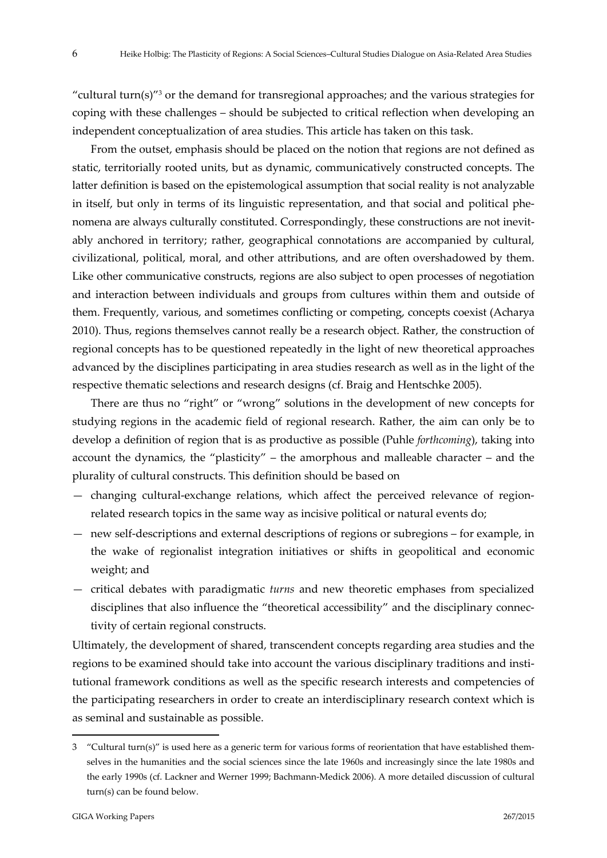"cultural turn $(s)$ "<sup>3</sup> or the demand for transregional approaches; and the various strategies for coping with these challenges – should be subjected to critical reflection when developing an independent conceptualization of area studies. This article has taken on this task.

From the outset, emphasis should be placed on the notion that regions are not defined as static, territorially rooted units, but as dynamic, communicatively constructed concepts. The latter definition is based on the epistemological assumption that social reality is not analyzable in itself, but only in terms of its linguistic representation, and that social and political phenomena are always culturally constituted. Correspondingly, these constructions are not inevit ably anchored in territory; rather, geographical connotations are accompanied by cultural, civilizational, political, moral, and other attributions, and are often overshadowed by them. Like other communicative constructs, regions are also subject to open processes of negotiation and interaction between individuals and groups from cultures within them and outside of them. Frequently, various, and sometimes conflicting or competing, concepts coexist (Acharya 2010). Thus, regions themselves cannot really be a research object. Rather, the construction of regional concepts has to be questioned repeatedly in the light of new theoretical approaches advanced by the disciplines participating in area studies research as well as in the light of the respective thematic selections and research designs (cf. Braig and Hentschke 2005).

There are thus no "right" or "wrong" solutions in the development of new concepts for studying regions in the academic field of regional research. Rather, the aim can only be to develop a definition of region that is as productive as possible (Puhle *forthcoming*), taking into account the dynamics, the "plasticity" – the amorphous and malleable character – and the plurality of cultural constructs. This definition should be based on

- changing cultural-exchange relations, which affect the perceived relevance of regionrelated research topics in the same way as incisive political or natural events do;
- new self‐descriptions and external descriptions of regions or subregions for example, in the wake of regionalist integration initiatives or shifts in geopolitical and economic weight; and
- critical debates with paradigmatic *turns* and new theoretic emphases from specialized disciplines that also influence the "theoretical accessibility" and the disciplinary connec‐ tivity of certain regional constructs.

Ultimately, the development of shared, transcendent concepts regarding area studies and the regions to be examined should take into account the various disciplinary traditions and insti‐ tutional framework conditions as well as the specific research interests and competencies of the participating researchers in order to create an interdisciplinary research context which is as seminal and sustainable as possible.

<sup>3 &</sup>quot;Cultural turn(s)" is used here as a generic term for various forms of reorientation that have established themselves in the humanities and the social sciences since the late 1960s and increasingly since the late 1980s and the early 1990s (cf. Lackner and Werner 1999; Bachmann‐Medick 2006). A more detailed discussion of cultural turn(s) can be found below.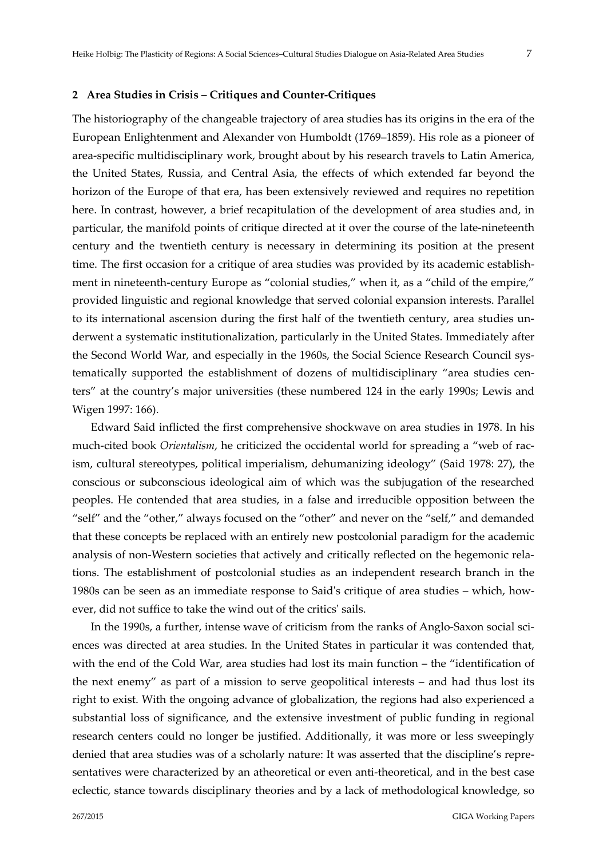## **2 Area Studies in Crisis – Critiques and Counter‐Critiques**

The historiography of the changeable trajectory of area studies has its origins in the era of the European Enlightenment and Alexander von Humboldt (1769–1859). His role as a pioneer of area‐specific multidisciplinary work, brought about by his research travels to Latin America, the United States, Russia, and Central Asia, the effects of which extended far beyond the horizon of the Europe of that era, has been extensively reviewed and requires no repetition here. In contrast, however, a brief recapitulation of the development of area studies and, in particular, the manifold points of critique directed at it over the course of the late-nineteenth century and the twentieth century is necessary in determining its position at the present time. The first occasion for a critique of area studies was provided by its academic establishment in nineteenth-century Europe as "colonial studies," when it, as a "child of the empire," provided linguistic and regional knowledge that served colonial expansion interests. Parallel to its international ascension during the first half of the twentieth century, area studies underwent a systematic institutionalization, particularly in the United States. Immediately after the Second World War, and especially in the 1960s, the Social Science Research Council systematically supported the establishment of dozens of multidisciplinary "area studies centers" at the country's major universities (these numbered 124 in the early 1990s; Lewis and Wigen 1997: 166).

Edward Said inflicted the first comprehensive shockwave on area studies in 1978. In his much-cited book *Orientalism*, he criticized the occidental world for spreading a "web of racism, cultural stereotypes, political imperialism, dehumanizing ideology" (Said 1978: 27), the conscious or subconscious ideological aim of which was the subjugation of the researched peoples. He contended that area studies, in a false and irreducible opposition between the "self" and the "other," always focused on the "other" and never on the "self," and demanded that these concepts be replaced with an entirely new postcolonial paradigm for the academic analysis of non‐Western societies that actively and critically reflected on the hegemonic rela‐ tions. The establishment of postcolonial studies as an independent research branch in the 1980s can be seen as an immediate response to Saidʹs critique of area studies – which, how‐ ever, did not suffice to take the wind out of the critics' sails.

In the 1990s, a further, intense wave of criticism from the ranks of Anglo-Saxon social sciences was directed at area studies. In the United States in particular it was contended that, with the end of the Cold War, area studies had lost its main function – the "identification of the next enemy" as part of a mission to serve geopolitical interests – and had thus lost its right to exist. With the ongoing advance of globalization, the regions had also experienced a substantial loss of significance, and the extensive investment of public funding in regional research centers could no longer be justified. Additionally, it was more or less sweepingly denied that area studies was of a scholarly nature: It was asserted that the discipline's repre‐ sentatives were characterized by an atheoretical or even anti-theoretical, and in the best case eclectic, stance towards disciplinary theories and by a lack of methodological knowledge, so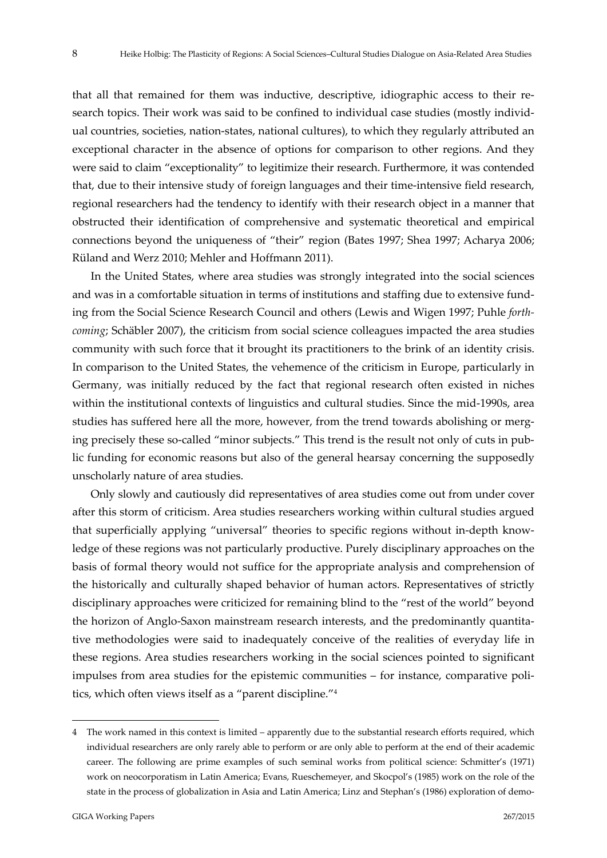that all that remained for them was inductive, descriptive, idiographic access to their research topics. Their work was said to be confined to individual case studies (mostly individ‐ ual countries, societies, nation‐states, national cultures), to which they regularly attributed an exceptional character in the absence of options for comparison to other regions. And they were said to claim "exceptionality" to legitimize their research. Furthermore, it was contended that, due to their intensive study of foreign languages and their time‐intensive field research, regional researchers had the tendency to identify with their research object in a manner that obstructed their identification of comprehensive and systematic theoretical and empirical connections beyond the uniqueness of "their" region (Bates 1997; Shea 1997; Acharya 2006; Rüland and Werz 2010; Mehler and Hoffmann 2011).

In the United States, where area studies was strongly integrated into the social sciences and was in a comfortable situation in terms of institutions and staffing due to extensive fund‐ ing from the Social Science Research Council and others (Lewis and Wigen 1997; Puhle *forth‐ coming*; Schäbler 2007), the criticism from social science colleagues impacted the area studies community with such force that it brought its practitioners to the brink of an identity crisis. In comparison to the United States, the vehemence of the criticism in Europe, particularly in Germany, was initially reduced by the fact that regional research often existed in niches within the institutional contexts of linguistics and cultural studies. Since the mid‐1990s, area studies has suffered here all the more, however, from the trend towards abolishing or merging precisely these so-called "minor subjects." This trend is the result not only of cuts in public funding for economic reasons but also of the general hearsay concerning the supposedly unscholarly nature of area studies.

Only slowly and cautiously did representatives of area studies come out from under cover after this storm of criticism. Area studies researchers working within cultural studies argued that superficially applying "universal" theories to specific regions without in‐depth know‐ ledge of these regions was not particularly productive. Purely disciplinary approaches on the basis of formal theory would not suffice for the appropriate analysis and comprehension of the historically and culturally shaped behavior of human actors. Representatives of strictly disciplinary approaches were criticized for remaining blind to the "rest of the world" beyond the horizon of Anglo‐Saxon mainstream research interests, and the predominantly quantita‐ tive methodologies were said to inadequately conceive of the realities of everyday life in these regions. Area studies researchers working in the social sciences pointed to significant impulses from area studies for the epistemic communities – for instance, comparative politics, which often views itself as a "parent discipline."4

<sup>4</sup> The work named in this context is limited – apparently due to the substantial research efforts required, which individual researchers are only rarely able to perform or are only able to perform at the end of their academic career. The following are prime examples of such seminal works from political science: Schmitter's (1971) work on neocorporatism in Latin America; Evans, Rueschemeyer, and Skocpol's (1985) work on the role of the state in the process of globalization in Asia and Latin America; Linz and Stephan's (1986) exploration of demo-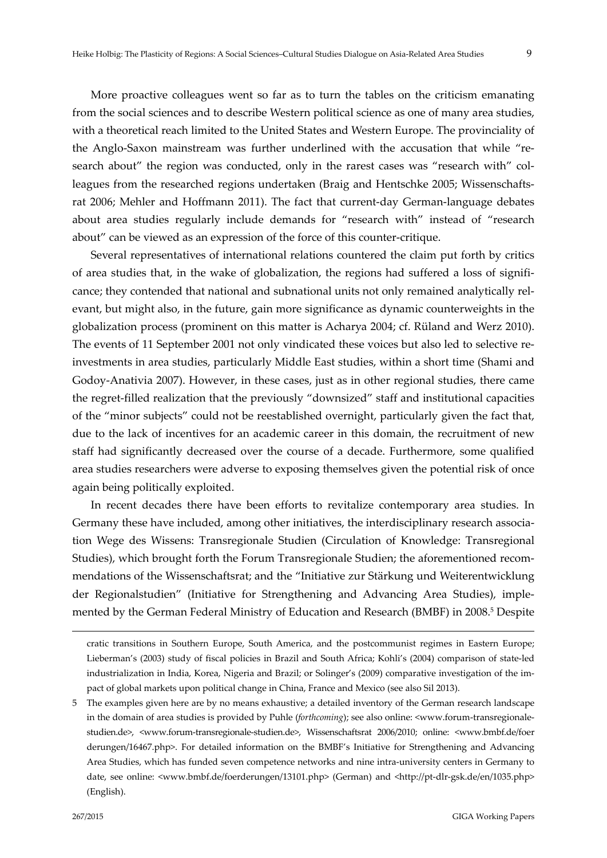More proactive colleagues went so far as to turn the tables on the criticism emanating from the social sciences and to describe Western political science as one of many area studies, with a theoretical reach limited to the United States and Western Europe. The provinciality of the Anglo-Saxon mainstream was further underlined with the accusation that while "research about" the region was conducted, only in the rarest cases was "research with" colleagues from the researched regions undertaken (Braig and Hentschke 2005; Wissenschaftsrat 2006; Mehler and Hoffmann 2011). The fact that current-day German-language debates about area studies regularly include demands for "research with" instead of "research about" can be viewed as an expression of the force of this counter‐critique.

Several representatives of international relations countered the claim put forth by critics of area studies that, in the wake of globalization, the regions had suffered a loss of signifi‐ cance; they contended that national and subnational units not only remained analytically relevant, but might also, in the future, gain more significance as dynamic counterweights in the globalization process (prominent on this matter is Acharya 2004; cf. Rüland and Werz 2010). The events of 11 September 2001 not only vindicated these voices but also led to selective reinvestments in area studies, particularly Middle East studies, within a short time (Shami and Godoy‐Anativia 2007). However, in these cases, just as in other regional studies, there came the regret-filled realization that the previously "downsized" staff and institutional capacities of the "minor subjects" could not be reestablished overnight, particularly given the fact that, due to the lack of incentives for an academic career in this domain, the recruitment of new staff had significantly decreased over the course of a decade. Furthermore, some qualified area studies researchers were adverse to exposing themselves given the potential risk of once again being politically exploited.

In recent decades there have been efforts to revitalize contemporary area studies. In Germany these have included, among other initiatives, the interdisciplinary research association Wege des Wissens: Transregionale Studien (Circulation of Knowledge: Transregional Studies), which brought forth the Forum Transregionale Studien; the aforementioned recom‐ mendations of the Wissenschaftsrat; and the "Initiative zur Stärkung und Weiterentwicklung der Regionalstudien" (Initiative for Strengthening and Advancing Area Studies), imple‐ mented by the German Federal Ministry of Education and Research (BMBF) in 2008.5 Despite

cratic transitions in Southern Europe, South America, and the postcommunist regimes in Eastern Europe; Lieberman's (2003) study of fiscal policies in Brazil and South Africa; Kohli's (2004) comparison of state‐led industrialization in India, Korea, Nigeria and Brazil; or Solinger's (2009) comparative investigation of the impact of global markets upon political change in China, France and Mexico (see also Sil 2013).

<sup>5</sup> The examples given here are by no means exhaustive; a detailed inventory of the German research landscape in the domain of area studies is provided by Puhle (*forthcoming*); see also online: <www.forum-transregionalestudien.de>, <www.forum‐transregionale‐studien.de>, Wissenschaftsrat 2006/2010; online: <www.bmbf.de/foer derungen/16467.php>. For detailed information on the BMBF's Initiative for Strengthening and Advancing Area Studies, which has funded seven competence networks and nine intra‐university centers in Germany to date, see online: <www.bmbf.de/foerderungen/13101.php> (German) and <http://pt-dlr-gsk.de/en/1035.php> (English).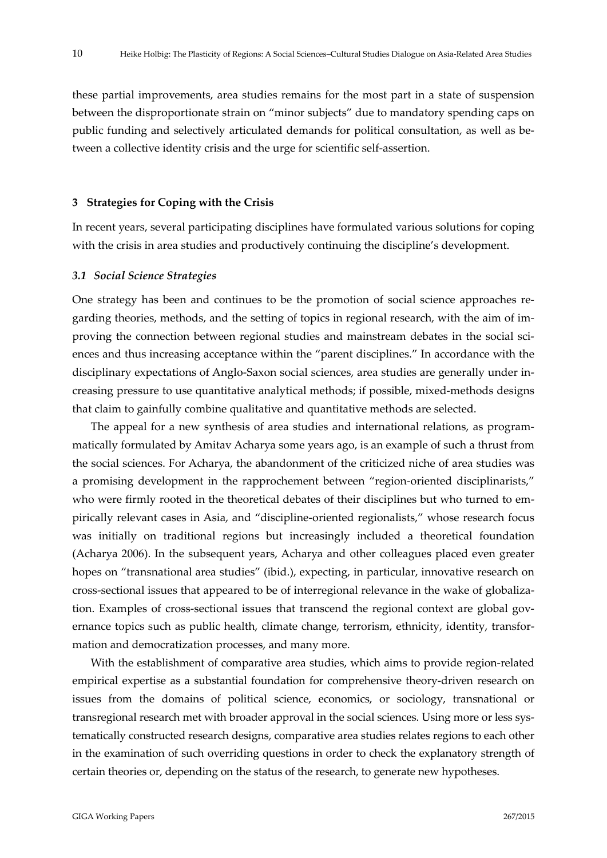these partial improvements, area studies remains for the most part in a state of suspension between the disproportionate strain on "minor subjects" due to mandatory spending caps on public funding and selectively articulated demands for political consultation, as well as be‐ tween a collective identity crisis and the urge for scientific self‐assertion.

### **3 Strategies for Coping with the Crisis**

In recent years, several participating disciplines have formulated various solutions for coping with the crisis in area studies and productively continuing the discipline's development.

#### *3.1 Social Science Strategies*

One strategy has been and continues to be the promotion of social science approaches re‐ garding theories, methods, and the setting of topics in regional research, with the aim of im‐ proving the connection between regional studies and mainstream debates in the social sciences and thus increasing acceptance within the "parent disciplines." In accordance with the disciplinary expectations of Anglo‐Saxon social sciences, area studies are generally under in‐ creasing pressure to use quantitative analytical methods; if possible, mixed‐methods designs that claim to gainfully combine qualitative and quantitative methods are selected.

The appeal for a new synthesis of area studies and international relations, as program‐ matically formulated by Amitav Acharya some years ago, is an example of such a thrust from the social sciences. For Acharya, the abandonment of the criticized niche of area studies was a promising development in the rapprochement between "region‐oriented disciplinarists," who were firmly rooted in the theoretical debates of their disciplines but who turned to empirically relevant cases in Asia, and "discipline‐oriented regionalists," whose research focus was initially on traditional regions but increasingly included a theoretical foundation (Acharya 2006). In the subsequent years, Acharya and other colleagues placed even greater hopes on "transnational area studies" (ibid.), expecting, in particular, innovative research on cross‐sectional issues that appeared to be of interregional relevance in the wake of globaliza‐ tion. Examples of cross-sectional issues that transcend the regional context are global governance topics such as public health, climate change, terrorism, ethnicity, identity, transformation and democratization processes, and many more.

With the establishment of comparative area studies, which aims to provide region-related empirical expertise as a substantial foundation for comprehensive theory-driven research on issues from the domains of political science, economics, or sociology, transnational or transregional research met with broader approval in the social sciences. Using more or less systematically constructed research designs, comparative area studies relates regions to each other in the examination of such overriding questions in order to check the explanatory strength of certain theories or, depending on the status of the research, to generate new hypotheses.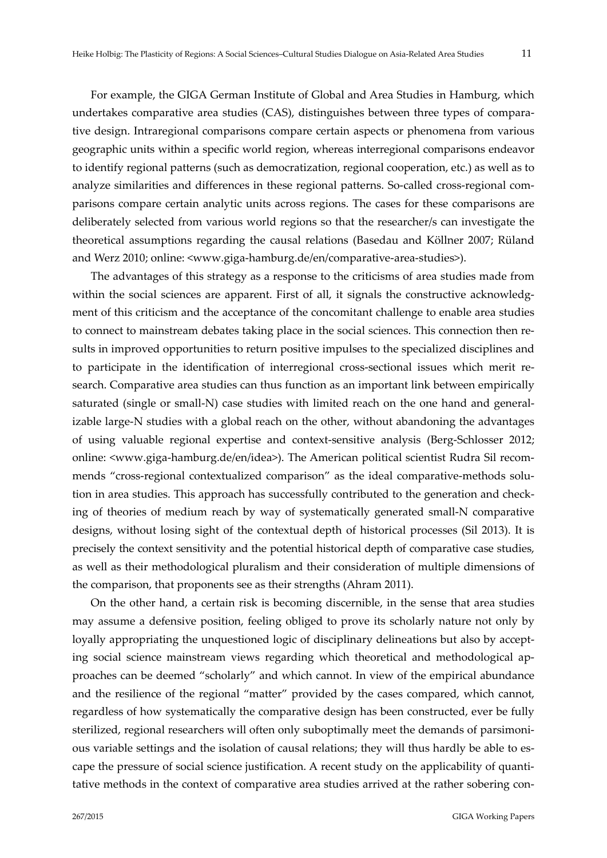For example, the GIGA German Institute of Global and Area Studies in Hamburg, which undertakes comparative area studies (CAS), distinguishes between three types of compara‐ tive design. Intraregional comparisons compare certain aspects or phenomena from various geographic units within a specific world region, whereas interregional comparisons endeavor to identify regional patterns (such as democratization, regional cooperation, etc.) as well as to analyze similarities and differences in these regional patterns. So-called cross-regional comparisons compare certain analytic units across regions. The cases for these comparisons are deliberately selected from various world regions so that the researcher/s can investigate the theoretical assumptions regarding the causal relations (Basedau and Köllner 2007; Rüland and Werz 2010; online: <www.giga-hamburg.de/en/comparative-area-studies>).

The advantages of this strategy as a response to the criticisms of area studies made from within the social sciences are apparent. First of all, it signals the constructive acknowledgment of this criticism and the acceptance of the concomitant challenge to enable area studies to connect to mainstream debates taking place in the social sciences. This connection then results in improved opportunities to return positive impulses to the specialized disciplines and to participate in the identification of interregional cross-sectional issues which merit research. Comparative area studies can thus function as an important link between empirically saturated (single or small-N) case studies with limited reach on the one hand and generalizable large‐N studies with a global reach on the other, without abandoning the advantages of using valuable regional expertise and context‐sensitive analysis (Berg‐Schlosser 2012; online: <www.giga-hamburg.de/en/idea>). The American political scientist Rudra Sil recommends "cross-regional contextualized comparison" as the ideal comparative-methods solution in area studies. This approach has successfully contributed to the generation and check‐ ing of theories of medium reach by way of systematically generated small‐N comparative designs, without losing sight of the contextual depth of historical processes (Sil 2013). It is precisely the context sensitivity and the potential historical depth of comparative case studies, as well as their methodological pluralism and their consideration of multiple dimensions of the comparison, that proponents see as their strengths (Ahram 2011).

On the other hand, a certain risk is becoming discernible, in the sense that area studies may assume a defensive position, feeling obliged to prove its scholarly nature not only by loyally appropriating the unquestioned logic of disciplinary delineations but also by accepting social science mainstream views regarding which theoretical and methodological approaches can be deemed "scholarly" and which cannot. In view of the empirical abundance and the resilience of the regional "matter" provided by the cases compared, which cannot, regardless of how systematically the comparative design has been constructed, ever be fully sterilized, regional researchers will often only suboptimally meet the demands of parsimonious variable settings and the isolation of causal relations; they will thus hardly be able to es‐ cape the pressure of social science justification. A recent study on the applicability of quantitative methods in the context of comparative area studies arrived at the rather sobering con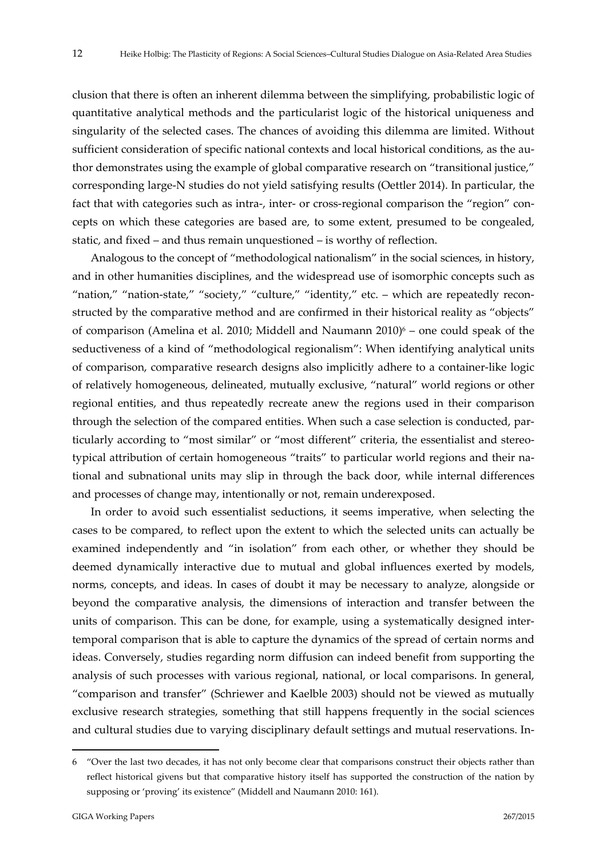clusion that there is often an inherent dilemma between the simplifying, probabilistic logic of quantitative analytical methods and the particularist logic of the historical uniqueness and singularity of the selected cases. The chances of avoiding this dilemma are limited. Without sufficient consideration of specific national contexts and local historical conditions, as the author demonstrates using the example of global comparative research on "transitional justice," corresponding large‐N studies do not yield satisfying results (Oettler 2014). In particular, the fact that with categories such as intra-, inter- or cross-regional comparison the "region" concepts on which these categories are based are, to some extent, presumed to be congealed, static, and fixed – and thus remain unquestioned – is worthy of reflection.

Analogous to the concept of "methodological nationalism" in the social sciences, in history, and in other humanities disciplines, and the widespread use of isomorphic concepts such as "nation," "nation-state," "society," "culture," "identity," etc. – which are repeatedly reconstructed by the comparative method and are confirmed in their historical reality as "objects" of comparison (Amelina et al. 2010; Middell and Naumann  $2010$ <sup>6</sup> – one could speak of the seductiveness of a kind of "methodological regionalism": When identifying analytical units of comparison, comparative research designs also implicitly adhere to a container‐like logic of relatively homogeneous, delineated, mutually exclusive, "natural" world regions or other regional entities, and thus repeatedly recreate anew the regions used in their comparison through the selection of the compared entities. When such a case selection is conducted, par‐ ticularly according to "most similar" or "most different" criteria, the essentialist and stereotypical attribution of certain homogeneous "traits" to particular world regions and their na‐ tional and subnational units may slip in through the back door, while internal differences and processes of change may, intentionally or not, remain underexposed.

In order to avoid such essentialist seductions, it seems imperative, when selecting the cases to be compared, to reflect upon the extent to which the selected units can actually be examined independently and "in isolation" from each other, or whether they should be deemed dynamically interactive due to mutual and global influences exerted by models, norms, concepts, and ideas. In cases of doubt it may be necessary to analyze, alongside or beyond the comparative analysis, the dimensions of interaction and transfer between the units of comparison. This can be done, for example, using a systematically designed inter‐ temporal comparison that is able to capture the dynamics of the spread of certain norms and ideas. Conversely, studies regarding norm diffusion can indeed benefit from supporting the analysis of such processes with various regional, national, or local comparisons. In general, "comparison and transfer" (Schriewer and Kaelble 2003) should not be viewed as mutually exclusive research strategies, something that still happens frequently in the social sciences and cultural studies due to varying disciplinary default settings and mutual reservations. In‐

<sup>6</sup> "Over the last two decades, it has not only become clear that comparisons construct their objects rather than reflect historical givens but that comparative history itself has supported the construction of the nation by supposing or 'proving' its existence" (Middell and Naumann 2010: 161).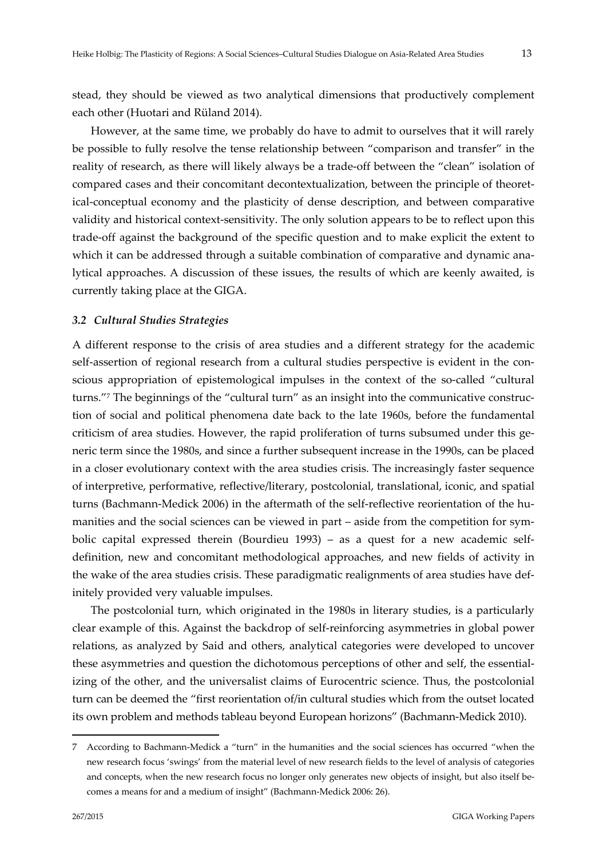stead, they should be viewed as two analytical dimensions that productively complement each other (Huotari and Rüland 2014).

However, at the same time, we probably do have to admit to ourselves that it will rarely be possible to fully resolve the tense relationship between "comparison and transfer" in the reality of research, as there will likely always be a trade‐off between the "clean" isolation of compared cases and their concomitant decontextualization, between the principle of theoretical-conceptual economy and the plasticity of dense description, and between comparative validity and historical context-sensitivity. The only solution appears to be to reflect upon this trade‐off against the background of the specific question and to make explicit the extent to which it can be addressed through a suitable combination of comparative and dynamic analytical approaches. A discussion of these issues, the results of which are keenly awaited, is currently taking place at the GIGA.

## *3.2 Cultural Studies Strategies*

A different response to the crisis of area studies and a different strategy for the academic self-assertion of regional research from a cultural studies perspective is evident in the conscious appropriation of epistemological impulses in the context of the so-called "cultural turns."<sup>7</sup> The beginnings of the "cultural turn" as an insight into the communicative construction of social and political phenomena date back to the late 1960s, before the fundamental criticism of area studies. However, the rapid proliferation of turns subsumed under this generic term since the 1980s, and since a further subsequent increase in the 1990s, can be placed in a closer evolutionary context with the area studies crisis. The increasingly faster sequence of interpretive, performative, reflective/literary, postcolonial, translational, iconic, and spatial turns (Bachmann-Medick 2006) in the aftermath of the self-reflective reorientation of the humanities and the social sciences can be viewed in part – aside from the competition for symbolic capital expressed therein (Bourdieu 1993) – as a quest for a new academic selfdefinition, new and concomitant methodological approaches, and new fields of activity in the wake of the area studies crisis. These paradigmatic realignments of area studies have def‐ initely provided very valuable impulses.

The postcolonial turn, which originated in the 1980s in literary studies, is a particularly clear example of this. Against the backdrop of self‐reinforcing asymmetries in global power relations, as analyzed by Said and others, analytical categories were developed to uncover these asymmetries and question the dichotomous perceptions of other and self, the essential‐ izing of the other, and the universalist claims of Eurocentric science. Thus, the postcolonial turn can be deemed the "first reorientation of/in cultural studies which from the outset located its own problem and methods tableau beyond European horizons" (Bachmann‐Medick 2010).

<sup>7</sup> According to Bachmann‐Medick a "turn" in the humanities and the social sciences has occurred "when the new research focus 'swings' from the material level of new research fields to the level of analysis of categories and concepts, when the new research focus no longer only generates new objects of insight, but also itself becomes a means for and a medium of insight" (Bachmann‐Medick 2006: 26).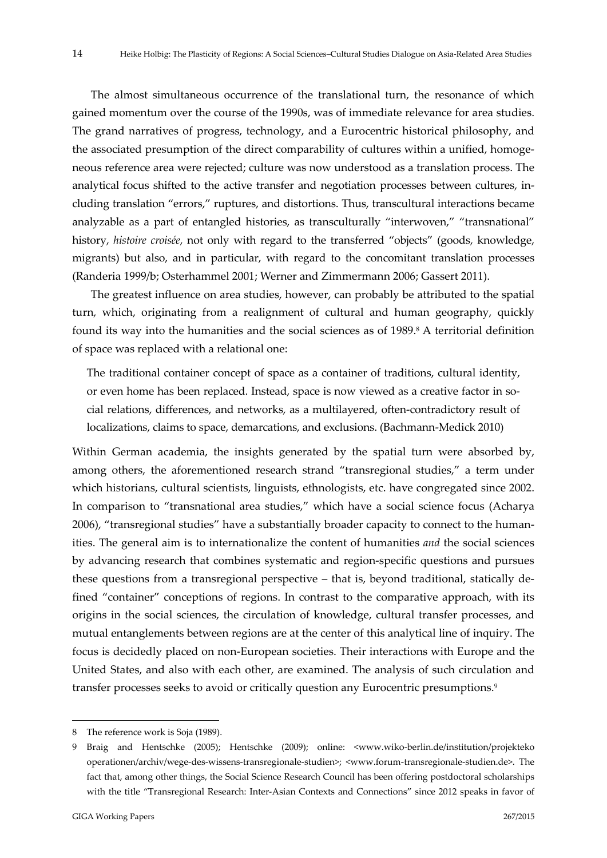The almost simultaneous occurrence of the translational turn, the resonance of which gained momentum over the course of the 1990s, was of immediate relevance for area studies. The grand narratives of progress, technology, and a Eurocentric historical philosophy, and the associated presumption of the direct comparability of cultures within a unified, homogeneous reference area were rejected; culture was now understood as a translation process. The analytical focus shifted to the active transfer and negotiation processes between cultures, in‐ cluding translation "errors," ruptures, and distortions. Thus, transcultural interactions became analyzable as a part of entangled histories, as transculturally "interwoven," "transnational" history, *histoire croisée*, not only with regard to the transferred "objects" (goods, knowledge, migrants) but also, and in particular, with regard to the concomitant translation processes (Randeria 1999/b; Osterhammel 2001; Werner and Zimmermann 2006; Gassert 2011).

The greatest influence on area studies, however, can probably be attributed to the spatial turn, which, originating from a realignment of cultural and human geography, quickly found its way into the humanities and the social sciences as of 1989.<sup>8</sup> A territorial definition of space was replaced with a relational one:

The traditional container concept of space as a container of traditions, cultural identity, or even home has been replaced. Instead, space is now viewed as a creative factor in social relations, differences, and networks, as a multilayered, often‐contradictory result of localizations, claims to space, demarcations, and exclusions. (Bachmann‐Medick 2010)

Within German academia, the insights generated by the spatial turn were absorbed by, among others, the aforementioned research strand "transregional studies," a term under which historians, cultural scientists, linguists, ethnologists, etc. have congregated since 2002. In comparison to "transnational area studies," which have a social science focus (Acharya 2006), "transregional studies" have a substantially broader capacity to connect to the human‐ ities. The general aim is to internationalize the content of humanities *and* the social sciences by advancing research that combines systematic and region‐specific questions and pursues these questions from a transregional perspective – that is, beyond traditional, statically defined "container" conceptions of regions. In contrast to the comparative approach, with its origins in the social sciences, the circulation of knowledge, cultural transfer processes, and mutual entanglements between regions are at the center of this analytical line of inquiry. The focus is decidedly placed on non‐European societies. Their interactions with Europe and the United States, and also with each other, are examined. The analysis of such circulation and transfer processes seeks to avoid or critically question any Eurocentric presumptions.9

<sup>8</sup> The reference work is Soja (1989).

<sup>9</sup> Braig and Hentschke (2005); Hentschke (2009); online: <www.wiko‐berlin.de/institution/projekteko operationen/archiv/wege‐des‐wissens‐transregionale‐studien>; <www.forum‐transregionale‐studien.de>. The fact that, among other things, the Social Science Research Council has been offering postdoctoral scholarships with the title "Transregional Research: Inter-Asian Contexts and Connections" since 2012 speaks in favor of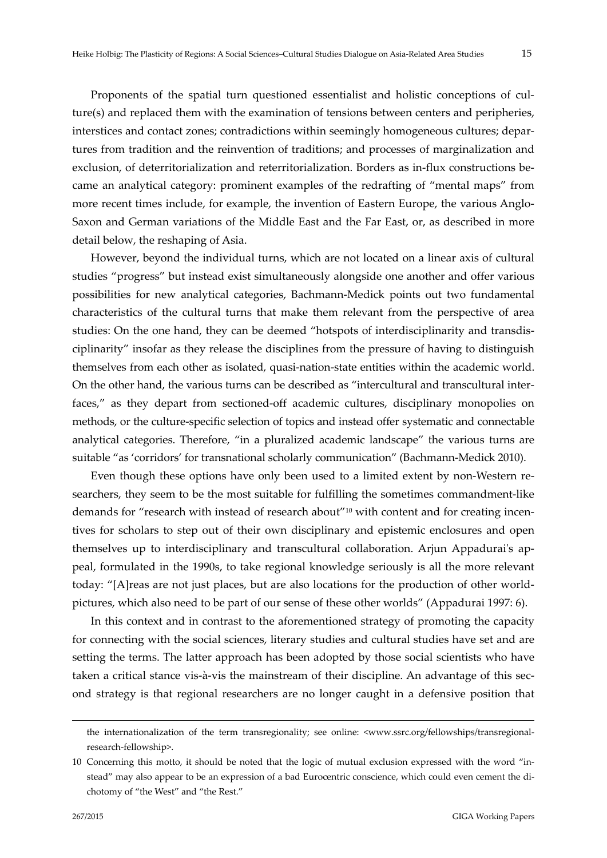Proponents of the spatial turn questioned essentialist and holistic conceptions of culture(s) and replaced them with the examination of tensions between centers and peripheries, interstices and contact zones; contradictions within seemingly homogeneous cultures; departures from tradition and the reinvention of traditions; and processes of marginalization and exclusion, of deterritorialization and reterritorialization. Borders as in‐flux constructions be‐ came an analytical category: prominent examples of the redrafting of "mental maps" from more recent times include, for example, the invention of Eastern Europe, the various Anglo-Saxon and German variations of the Middle East and the Far East, or, as described in more detail below, the reshaping of Asia.

However, beyond the individual turns, which are not located on a linear axis of cultural studies "progress" but instead exist simultaneously alongside one another and offer various possibilities for new analytical categories, Bachmann‐Medick points out two fundamental characteristics of the cultural turns that make them relevant from the perspective of area studies: On the one hand, they can be deemed "hotspots of interdisciplinarity and transdis‐ ciplinarity" insofar as they release the disciplines from the pressure of having to distinguish themselves from each other as isolated, quasi‐nation‐state entities within the academic world. On the other hand, the various turns can be described as "intercultural and transcultural inter‐ faces," as they depart from sectioned‐off academic cultures, disciplinary monopolies on methods, or the culture‐specific selection of topics and instead offer systematic and connectable analytical categories. Therefore, "in a pluralized academic landscape" the various turns are suitable "as 'corridors' for transnational scholarly communication" (Bachmann-Medick 2010).

Even though these options have only been used to a limited extent by non-Western researchers, they seem to be the most suitable for fulfilling the sometimes commandment-like demands for "research with instead of research about"<sup>10</sup> with content and for creating incentives for scholars to step out of their own disciplinary and epistemic enclosures and open themselves up to interdisciplinary and transcultural collaboration. Arjun Appadurai's appeal, formulated in the 1990s, to take regional knowledge seriously is all the more relevant today: "[A]reas are not just places, but are also locations for the production of other world‐ pictures, which also need to be part of our sense of these other worlds" (Appadurai 1997: 6).

In this context and in contrast to the aforementioned strategy of promoting the capacity for connecting with the social sciences, literary studies and cultural studies have set and are setting the terms. The latter approach has been adopted by those social scientists who have taken a critical stance vis-à-vis the mainstream of their discipline. An advantage of this second strategy is that regional researchers are no longer caught in a defensive position that

the internationalization of the term transregionality; see online: <www.ssrc.org/fellowships/transregionalresearch‐fellowship>.

<sup>10</sup> Concerning this motto, it should be noted that the logic of mutual exclusion expressed with the word "in‐ stead" may also appear to be an expression of a bad Eurocentric conscience, which could even cement the dichotomy of "the West" and "the Rest."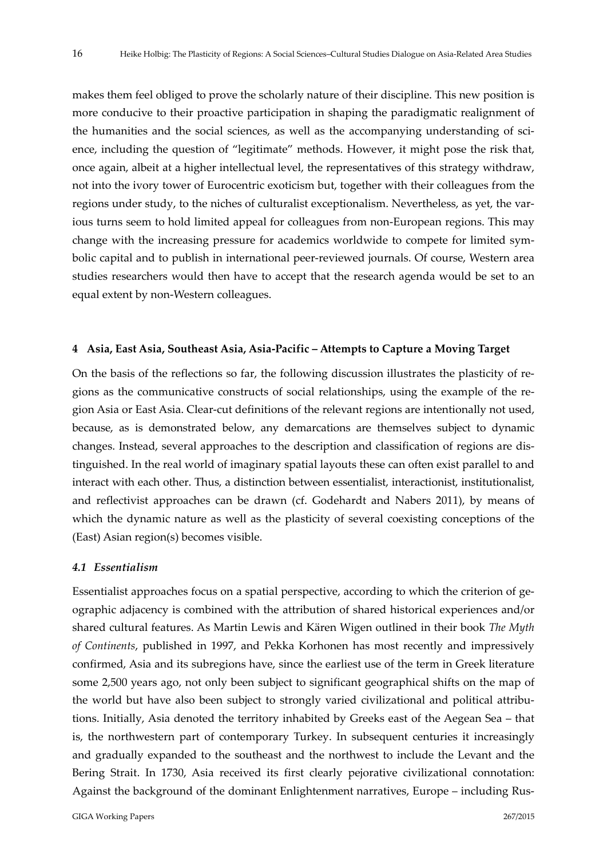makes them feel obliged to prove the scholarly nature of their discipline. This new position is more conducive to their proactive participation in shaping the paradigmatic realignment of the humanities and the social sciences, as well as the accompanying understanding of science, including the question of "legitimate" methods. However, it might pose the risk that, once again, albeit at a higher intellectual level, the representatives of this strategy withdraw, not into the ivory tower of Eurocentric exoticism but, together with their colleagues from the regions under study, to the niches of culturalist exceptionalism. Nevertheless, as yet, the various turns seem to hold limited appeal for colleagues from non‐European regions. This may change with the increasing pressure for academics worldwide to compete for limited symbolic capital and to publish in international peer‐reviewed journals. Of course, Western area studies researchers would then have to accept that the research agenda would be set to an equal extent by non‐Western colleagues.

### **4 Asia, East Asia, Southeast Asia, Asia‐Pacific – Attempts to Capture a Moving Target**

On the basis of the reflections so far, the following discussion illustrates the plasticity of re‐ gions as the communicative constructs of social relationships, using the example of the re‐ gion Asia or East Asia. Clear‐cut definitions of the relevant regions are intentionally not used, because, as is demonstrated below, any demarcations are themselves subject to dynamic changes. Instead, several approaches to the description and classification of regions are dis‐ tinguished. In the real world of imaginary spatial layouts these can often exist parallel to and interact with each other. Thus, a distinction between essentialist, interactionist, institutionalist, and reflectivist approaches can be drawn (cf. Godehardt and Nabers 2011), by means of which the dynamic nature as well as the plasticity of several coexisting conceptions of the (East) Asian region(s) becomes visible.

#### *4.1 Essentialism*

Essentialist approaches focus on a spatial perspective, according to which the criterion of geographic adjacency is combined with the attribution of shared historical experiences and/or shared cultural features. As Martin Lewis and Kären Wigen outlined in their book *The Myth of Continents*, published in 1997, and Pekka Korhonen has most recently and impressively confirmed, Asia and its subregions have, since the earliest use of the term in Greek literature some 2,500 years ago, not only been subject to significant geographical shifts on the map of the world but have also been subject to strongly varied civilizational and political attribu‐ tions. Initially, Asia denoted the territory inhabited by Greeks east of the Aegean Sea – that is, the northwestern part of contemporary Turkey. In subsequent centuries it increasingly and gradually expanded to the southeast and the northwest to include the Levant and the Bering Strait. In 1730, Asia received its first clearly pejorative civilizational connotation: Against the background of the dominant Enlightenment narratives, Europe – including Rus‐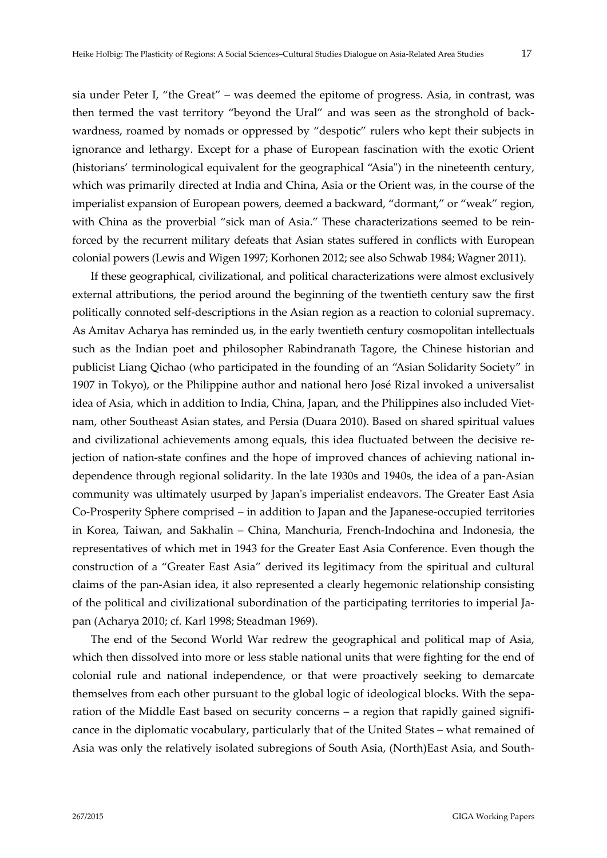sia under Peter I, "the Great" – was deemed the epitome of progress. Asia, in contrast, was then termed the vast territory "beyond the Ural" and was seen as the stronghold of backwardness, roamed by nomads or oppressed by "despotic" rulers who kept their subjects in ignorance and lethargy. Except for a phase of European fascination with the exotic Orient (historians' terminological equivalent for the geographical "Asia") in the nineteenth century, which was primarily directed at India and China, Asia or the Orient was, in the course of the imperialist expansion of European powers, deemed a backward, "dormant," or "weak" region, with China as the proverbial "sick man of Asia." These characterizations seemed to be reinforced by the recurrent military defeats that Asian states suffered in conflicts with European colonial powers (Lewis and Wigen 1997; Korhonen 2012; see also Schwab 1984; Wagner 2011).

If these geographical, civilizational, and political characterizations were almost exclusively external attributions, the period around the beginning of the twentieth century saw the first politically connoted self‐descriptions in the Asian region as a reaction to colonial supremacy. As Amitav Acharya has reminded us, in the early twentieth century cosmopolitan intellectuals such as the Indian poet and philosopher Rabindranath Tagore, the Chinese historian and publicist Liang Qichao (who participated in the founding of an "Asian Solidarity Society" in 1907 in Tokyo), or the Philippine author and national hero José Rizal invoked a universalist idea of Asia, which in addition to India, China, Japan, and the Philippines also included Vietnam, other Southeast Asian states, and Persia (Duara 2010). Based on shared spiritual values and civilizational achievements among equals, this idea fluctuated between the decisive rejection of nation‐state confines and the hope of improved chances of achieving national in‐ dependence through regional solidarity. In the late 1930s and 1940s, the idea of a pan‐Asian community was ultimately usurped by Japanʹs imperialist endeavors. The Greater East Asia Co‐Prosperity Sphere comprised – in addition to Japan and the Japanese‐occupied territories in Korea, Taiwan, and Sakhalin – China, Manchuria, French‐Indochina and Indonesia, the representatives of which met in 1943 for the Greater East Asia Conference. Even though the construction of a "Greater East Asia" derived its legitimacy from the spiritual and cultural claims of the pan‐Asian idea, it also represented a clearly hegemonic relationship consisting of the political and civilizational subordination of the participating territories to imperial Ja‐ pan (Acharya 2010; cf. Karl 1998; Steadman 1969).

The end of the Second World War redrew the geographical and political map of Asia, which then dissolved into more or less stable national units that were fighting for the end of colonial rule and national independence, or that were proactively seeking to demarcate themselves from each other pursuant to the global logic of ideological blocks. With the sepa‐ ration of the Middle East based on security concerns – a region that rapidly gained significance in the diplomatic vocabulary, particularly that of the United States – what remained of Asia was only the relatively isolated subregions of South Asia, (North)East Asia, and South‐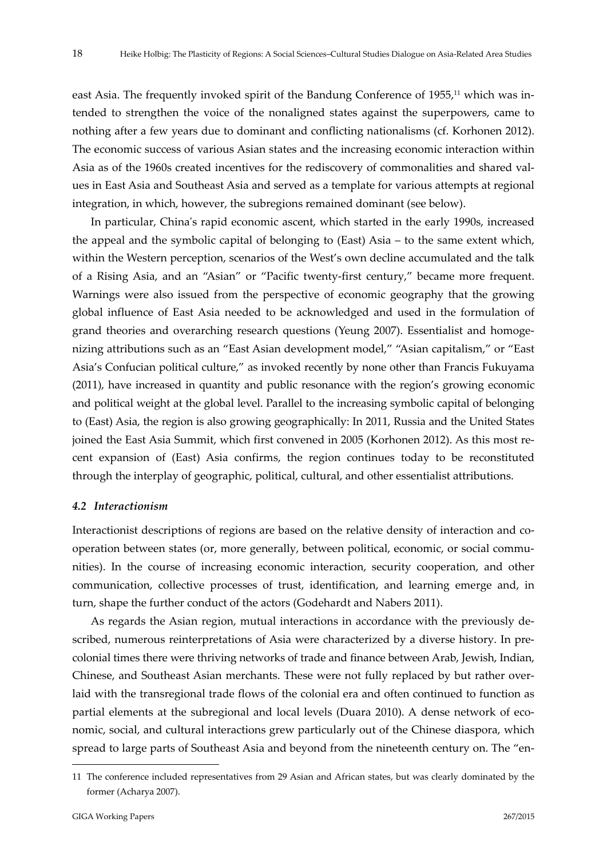east Asia. The frequently invoked spirit of the Bandung Conference of 1955,<sup>11</sup> which was intended to strengthen the voice of the nonaligned states against the superpowers, came to nothing after a few years due to dominant and conflicting nationalisms (cf. Korhonen 2012). The economic success of various Asian states and the increasing economic interaction within Asia as of the 1960s created incentives for the rediscovery of commonalities and shared val‐ ues in East Asia and Southeast Asia and served as a template for various attempts at regional integration, in which, however, the subregions remained dominant (see below).

In particular, Chinaʹs rapid economic ascent, which started in the early 1990s, increased the appeal and the symbolic capital of belonging to (East) Asia – to the same extent which, within the Western perception, scenarios of the West's own decline accumulated and the talk of a Rising Asia, and an "Asian" or "Pacific twenty‐first century," became more frequent. Warnings were also issued from the perspective of economic geography that the growing global influence of East Asia needed to be acknowledged and used in the formulation of grand theories and overarching research questions (Yeung 2007). Essentialist and homogenizing attributions such as an "East Asian development model," "Asian capitalism," or "East Asia's Confucian political culture," as invoked recently by none other than Francis Fukuyama (2011), have increased in quantity and public resonance with the region's growing economic and political weight at the global level. Parallel to the increasing symbolic capital of belonging to (East) Asia, the region is also growing geographically: In 2011, Russia and the United States joined the East Asia Summit, which first convened in 2005 (Korhonen 2012). As this most recent expansion of (East) Asia confirms, the region continues today to be reconstituted through the interplay of geographic, political, cultural, and other essentialist attributions.

#### *4.2 Interactionism*

Interactionist descriptions of regions are based on the relative density of interaction and cooperation between states (or, more generally, between political, economic, or social commu‐ nities). In the course of increasing economic interaction, security cooperation, and other communication, collective processes of trust, identification, and learning emerge and, in turn, shape the further conduct of the actors (Godehardt and Nabers 2011).

As regards the Asian region, mutual interactions in accordance with the previously de‐ scribed, numerous reinterpretations of Asia were characterized by a diverse history. In precolonial times there were thriving networks of trade and finance between Arab, Jewish, Indian, Chinese, and Southeast Asian merchants. These were not fully replaced by but rather over‐ laid with the transregional trade flows of the colonial era and often continued to function as partial elements at the subregional and local levels (Duara 2010). A dense network of economic, social, and cultural interactions grew particularly out of the Chinese diaspora, which spread to large parts of Southeast Asia and beyond from the nineteenth century on. The "en-

<sup>11</sup> The conference included representatives from 29 Asian and African states, but was clearly dominated by the former (Acharya 2007).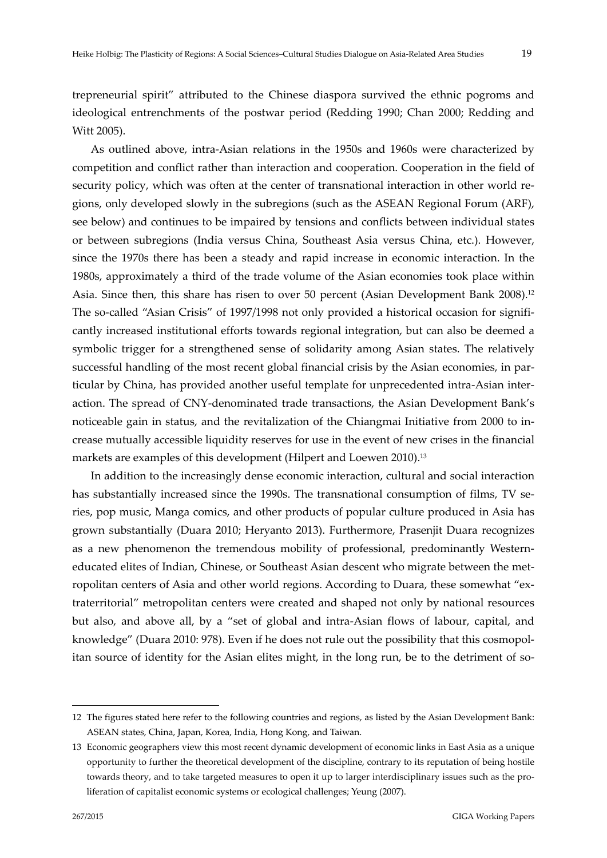trepreneurial spirit" attributed to the Chinese diaspora survived the ethnic pogroms and ideological entrenchments of the postwar period (Redding 1990; Chan 2000; Redding and Witt 2005).

As outlined above, intra‐Asian relations in the 1950s and 1960s were characterized by competition and conflict rather than interaction and cooperation. Cooperation in the field of security policy, which was often at the center of transnational interaction in other world regions, only developed slowly in the subregions (such as the ASEAN Regional Forum (ARF), see below) and continues to be impaired by tensions and conflicts between individual states or between subregions (India versus China, Southeast Asia versus China, etc.). However, since the 1970s there has been a steady and rapid increase in economic interaction. In the 1980s, approximately a third of the trade volume of the Asian economies took place within Asia. Since then, this share has risen to over 50 percent (Asian Development Bank 2008).12 The so-called "Asian Crisis" of 1997/1998 not only provided a historical occasion for significantly increased institutional efforts towards regional integration, but can also be deemed a symbolic trigger for a strengthened sense of solidarity among Asian states. The relatively successful handling of the most recent global financial crisis by the Asian economies, in particular by China, has provided another useful template for unprecedented intra‐Asian inter‐ action. The spread of CNY‐denominated trade transactions, the Asian Development Bank's noticeable gain in status, and the revitalization of the Chiangmai Initiative from 2000 to in‐ crease mutually accessible liquidity reserves for use in the event of new crises in the financial markets are examples of this development (Hilpert and Loewen 2010).<sup>13</sup>

In addition to the increasingly dense economic interaction, cultural and social interaction has substantially increased since the 1990s. The transnational consumption of films, TV series, pop music, Manga comics, and other products of popular culture produced in Asia has grown substantially (Duara 2010; Heryanto 2013). Furthermore, Prasenjit Duara recognizes as a new phenomenon the tremendous mobility of professional, predominantly Westerneducated elites of Indian, Chinese, or Southeast Asian descent who migrate between the metropolitan centers of Asia and other world regions. According to Duara, these somewhat "extraterritorial" metropolitan centers were created and shaped not only by national resources but also, and above all, by a "set of global and intra‐Asian flows of labour, capital, and knowledge" (Duara 2010: 978). Even if he does not rule out the possibility that this cosmopolitan source of identity for the Asian elites might, in the long run, be to the detriment of so-

<u>.</u>

<sup>12</sup> The figures stated here refer to the following countries and regions, as listed by the Asian Development Bank: ASEAN states, China, Japan, Korea, India, Hong Kong, and Taiwan.

<sup>13</sup> Economic geographers view this most recent dynamic development of economic links in East Asia as a unique opportunity to further the theoretical development of the discipline, contrary to its reputation of being hostile towards theory, and to take targeted measures to open it up to larger interdisciplinary issues such as the pro‐ liferation of capitalist economic systems or ecological challenges; Yeung (2007).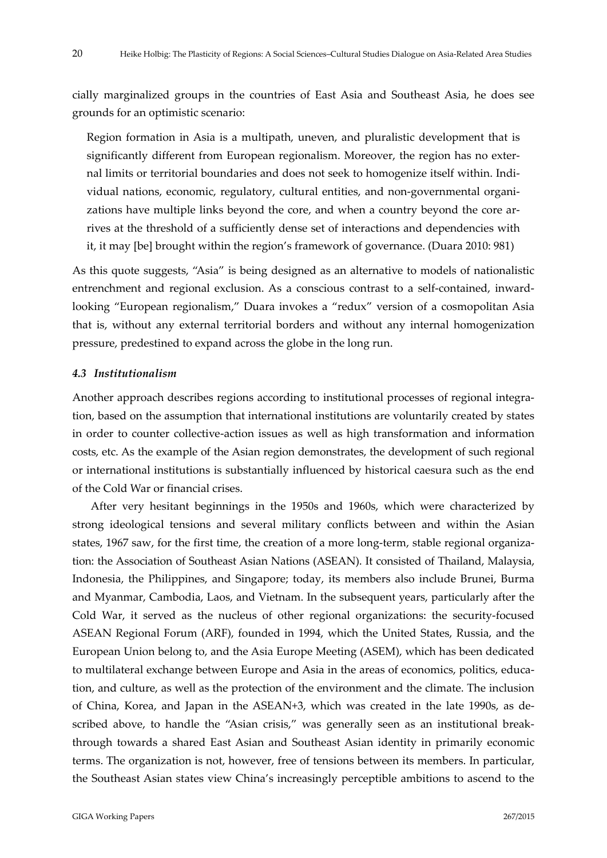cially marginalized groups in the countries of East Asia and Southeast Asia, he does see grounds for an optimistic scenario:

Region formation in Asia is a multipath, uneven, and pluralistic development that is significantly different from European regionalism. Moreover, the region has no exter‐ nal limits or territorial boundaries and does not seek to homogenize itself within. Individual nations, economic, regulatory, cultural entities, and non‐governmental organi‐ zations have multiple links beyond the core, and when a country beyond the core ar‐ rives at the threshold of a sufficiently dense set of interactions and dependencies with it, it may [be] brought within the region's framework of governance. (Duara 2010: 981)

As this quote suggests, "Asia" is being designed as an alternative to models of nationalistic entrenchment and regional exclusion. As a conscious contrast to a self‐contained, inward‐ looking "European regionalism," Duara invokes a "redux" version of a cosmopolitan Asia that is, without any external territorial borders and without any internal homogenization pressure, predestined to expand across the globe in the long run.

#### *4.3 Institutionalism*

Another approach describes regions according to institutional processes of regional integra‐ tion, based on the assumption that international institutions are voluntarily created by states in order to counter collective‐action issues as well as high transformation and information costs, etc. As the example of the Asian region demonstrates, the development of such regional or international institutions is substantially influenced by historical caesura such as the end of the Cold War or financial crises.

After very hesitant beginnings in the 1950s and 1960s, which were characterized by strong ideological tensions and several military conflicts between and within the Asian states, 1967 saw, for the first time, the creation of a more long-term, stable regional organization: the Association of Southeast Asian Nations (ASEAN). It consisted of Thailand, Malaysia, Indonesia, the Philippines, and Singapore; today, its members also include Brunei, Burma and Myanmar, Cambodia, Laos, and Vietnam. In the subsequent years, particularly after the Cold War, it served as the nucleus of other regional organizations: the security‐focused ASEAN Regional Forum (ARF), founded in 1994, which the United States, Russia, and the European Union belong to, and the Asia Europe Meeting (ASEM), which has been dedicated to multilateral exchange between Europe and Asia in the areas of economics, politics, education, and culture, as well as the protection of the environment and the climate. The inclusion of China, Korea, and Japan in the ASEAN+3, which was created in the late 1990s, as de‐ scribed above, to handle the "Asian crisis," was generally seen as an institutional break‐ through towards a shared East Asian and Southeast Asian identity in primarily economic terms. The organization is not, however, free of tensions between its members. In particular, the Southeast Asian states view China's increasingly perceptible ambitions to ascend to the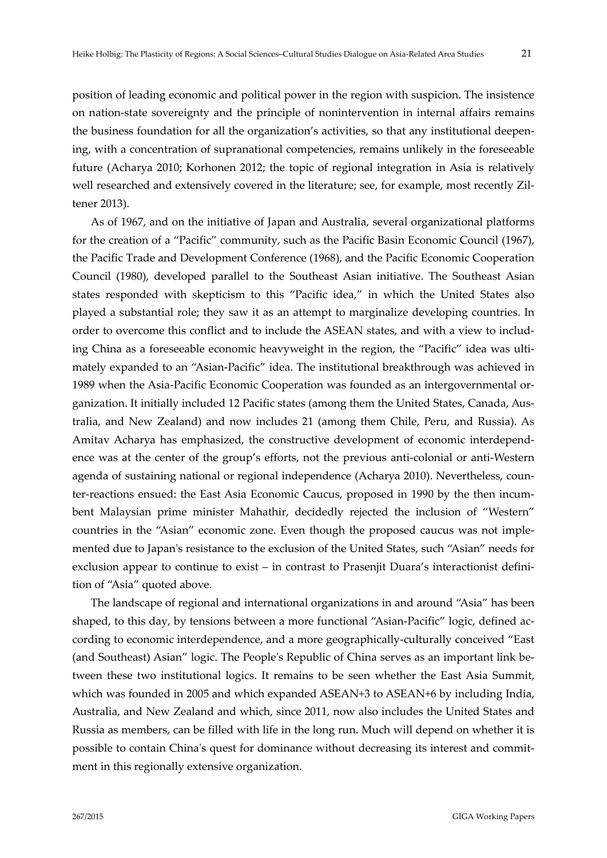position of leading economic and political power in the region with suspicion. The insistence on nation‐state sovereignty and the principle of nonintervention in internal affairs remains the business foundation for all the organization's activities, so that any institutional deepen‐ ing, with a concentration of supranational competencies, remains unlikely in the foreseeable future (Acharya 2010; Korhonen 2012; the topic of regional integration in Asia is relatively well researched and extensively covered in the literature; see, for example, most recently Ziltener 2013).

As of 1967, and on the initiative of Japan and Australia, several organizational platforms for the creation of a "Pacific" community, such as the Pacific Basin Economic Council (1967), the Pacific Trade and Development Conference (1968), and the Pacific Economic Cooperation Council (1980), developed parallel to the Southeast Asian initiative. The Southeast Asian states responded with skepticism to this "Pacific idea," in which the United States also played a substantial role; they saw it as an attempt to marginalize developing countries. In order to overcome this conflict and to include the ASEAN states, and with a view to includ‐ ing China as a foreseeable economic heavyweight in the region, the "Pacific" idea was ultimately expanded to an "Asian‐Pacific" idea. The institutional breakthrough was achieved in 1989 when the Asia‐Pacific Economic Cooperation was founded as an intergovernmental or‐ ganization. It initially included 12 Pacific states (among them the United States, Canada, Aus‐ tralia, and New Zealand) and now includes 21 (among them Chile, Peru, and Russia). As Amitav Acharya has emphasized, the constructive development of economic interdepend‐ ence was at the center of the group's efforts, not the previous anti‐colonial or anti‐Western agenda of sustaining national or regional independence (Acharya 2010). Nevertheless, counter-reactions ensued: the East Asia Economic Caucus, proposed in 1990 by the then incumbent Malaysian prime minister Mahathir, decidedly rejected the inclusion of "Western" countries in the "Asian" economic zone. Even though the proposed caucus was not implemented due to Japanʹs resistance to the exclusion of the United States, such "Asian" needs for exclusion appear to continue to exist – in contrast to Prasenjit Duara's interactionist definition of "Asia" quoted above.

The landscape of regional and international organizations in and around "Asia" has been shaped, to this day, by tensions between a more functional "Asian-Pacific" logic, defined according to economic interdependence, and a more geographically‐culturally conceived "East (and Southeast) Asian" logic. The Peopleʹs Republic of China serves as an important link be‐ tween these two institutional logics. It remains to be seen whether the East Asia Summit, which was founded in 2005 and which expanded ASEAN+3 to ASEAN+6 by including India, Australia, and New Zealand and which, since 2011, now also includes the United States and Russia as members, can be filled with life in the long run. Much will depend on whether it is possible to contain China's quest for dominance without decreasing its interest and commitment in this regionally extensive organization.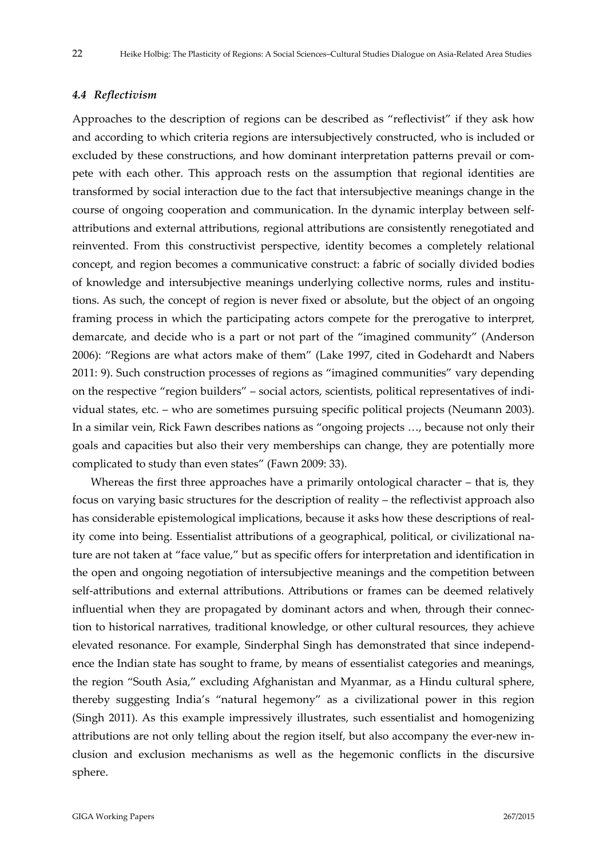#### *4.4 Reflectivism*

Approaches to the description of regions can be described as "reflectivist" if they ask how and according to which criteria regions are intersubjectively constructed, who is included or excluded by these constructions, and how dominant interpretation patterns prevail or compete with each other. This approach rests on the assumption that regional identities are transformed by social interaction due to the fact that intersubjective meanings change in the course of ongoing cooperation and communication. In the dynamic interplay between selfattributions and external attributions, regional attributions are consistently renegotiated and reinvented. From this constructivist perspective, identity becomes a completely relational concept, and region becomes a communicative construct: a fabric of socially divided bodies of knowledge and intersubjective meanings underlying collective norms, rules and institu‐ tions. As such, the concept of region is never fixed or absolute, but the object of an ongoing framing process in which the participating actors compete for the prerogative to interpret, demarcate, and decide who is a part or not part of the "imagined community" (Anderson 2006): "Regions are what actors make of them" (Lake 1997, cited in Godehardt and Nabers 2011: 9). Such construction processes of regions as "imagined communities" vary depending on the respective "region builders" – social actors, scientists, political representatives of individual states, etc. – who are sometimes pursuing specific political projects (Neumann 2003). In a similar vein, Rick Fawn describes nations as "ongoing projects …, because not only their goals and capacities but also their very memberships can change, they are potentially more complicated to study than even states" (Fawn 2009: 33).

Whereas the first three approaches have a primarily ontological character – that is, they focus on varying basic structures for the description of reality – the reflectivist approach also has considerable epistemological implications, because it asks how these descriptions of reality come into being. Essentialist attributions of a geographical, political, or civilizational na‐ ture are not taken at "face value," but as specific offers for interpretation and identification in the open and ongoing negotiation of intersubjective meanings and the competition between self-attributions and external attributions. Attributions or frames can be deemed relatively influential when they are propagated by dominant actors and when, through their connection to historical narratives, traditional knowledge, or other cultural resources, they achieve elevated resonance. For example, Sinderphal Singh has demonstrated that since independ‐ ence the Indian state has sought to frame, by means of essentialist categories and meanings, the region "South Asia," excluding Afghanistan and Myanmar, as a Hindu cultural sphere, thereby suggesting India's "natural hegemony" as a civilizational power in this region (Singh 2011). As this example impressively illustrates, such essentialist and homogenizing attributions are not only telling about the region itself, but also accompany the ever-new inclusion and exclusion mechanisms as well as the hegemonic conflicts in the discursive sphere.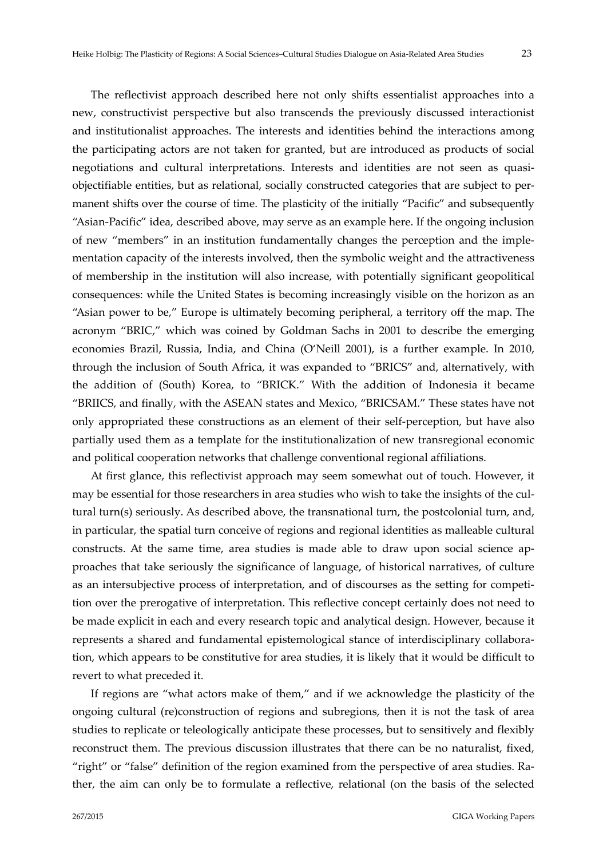The reflectivist approach described here not only shifts essentialist approaches into a new, constructivist perspective but also transcends the previously discussed interactionist and institutionalist approaches. The interests and identities behind the interactions among the participating actors are not taken for granted, but are introduced as products of social negotiations and cultural interpretations. Interests and identities are not seen as quasiobjectifiable entities, but as relational, socially constructed categories that are subject to per‐ manent shifts over the course of time. The plasticity of the initially "Pacific" and subsequently "Asian‐Pacific" idea, described above, may serve as an example here. If the ongoing inclusion of new "members" in an institution fundamentally changes the perception and the imple‐ mentation capacity of the interests involved, then the symbolic weight and the attractiveness of membership in the institution will also increase, with potentially significant geopolitical consequences: while the United States is becoming increasingly visible on the horizon as an "Asian power to be," Europe is ultimately becoming peripheral, a territory off the map. The acronym "BRIC," which was coined by Goldman Sachs in 2001 to describe the emerging economies Brazil, Russia, India, and China (O'Neill 2001), is a further example. In 2010, through the inclusion of South Africa, it was expanded to "BRICS" and, alternatively, with the addition of (South) Korea, to "BRICK." With the addition of Indonesia it became "BRIICS, and finally, with the ASEAN states and Mexico, "BRICSAM." These states have not only appropriated these constructions as an element of their self‐perception, but have also partially used them as a template for the institutionalization of new transregional economic and political cooperation networks that challenge conventional regional affiliations.

At first glance, this reflectivist approach may seem somewhat out of touch. However, it may be essential for those researchers in area studies who wish to take the insights of the cultural turn(s) seriously. As described above, the transnational turn, the postcolonial turn, and, in particular, the spatial turn conceive of regions and regional identities as malleable cultural constructs. At the same time, area studies is made able to draw upon social science approaches that take seriously the significance of language, of historical narratives, of culture as an intersubjective process of interpretation, and of discourses as the setting for competition over the prerogative of interpretation. This reflective concept certainly does not need to be made explicit in each and every research topic and analytical design. However, because it represents a shared and fundamental epistemological stance of interdisciplinary collabora‐ tion, which appears to be constitutive for area studies, it is likely that it would be difficult to revert to what preceded it.

If regions are "what actors make of them," and if we acknowledge the plasticity of the ongoing cultural (re)construction of regions and subregions, then it is not the task of area studies to replicate or teleologically anticipate these processes, but to sensitively and flexibly reconstruct them. The previous discussion illustrates that there can be no naturalist, fixed, "right" or "false" definition of the region examined from the perspective of area studies. Ra‐ ther, the aim can only be to formulate a reflective, relational (on the basis of the selected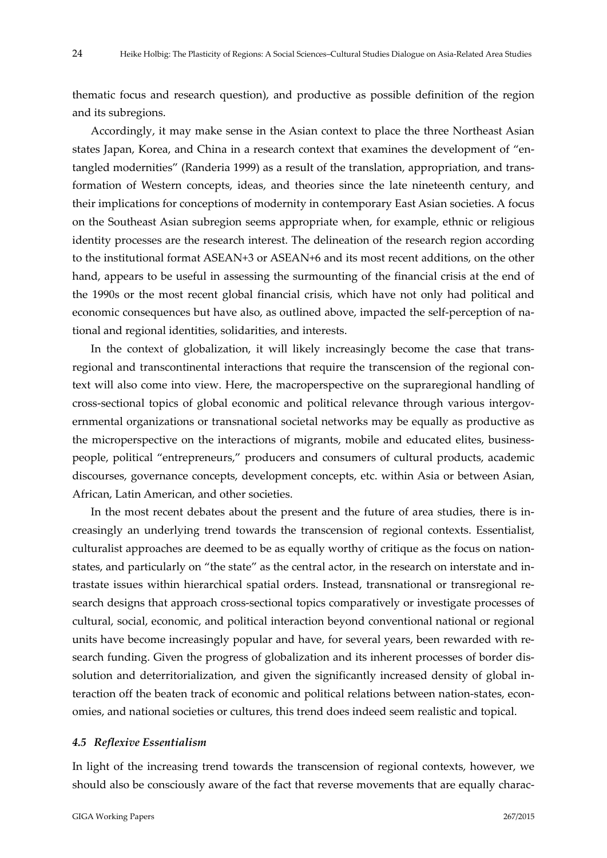thematic focus and research question), and productive as possible definition of the region and its subregions.

Accordingly, it may make sense in the Asian context to place the three Northeast Asian states Japan, Korea, and China in a research context that examines the development of "entangled modernities" (Randeria 1999) as a result of the translation, appropriation, and trans‐ formation of Western concepts, ideas, and theories since the late nineteenth century, and their implications for conceptions of modernity in contemporary East Asian societies. A focus on the Southeast Asian subregion seems appropriate when, for example, ethnic or religious identity processes are the research interest. The delineation of the research region according to the institutional format ASEAN+3 or ASEAN+6 and its most recent additions, on the other hand, appears to be useful in assessing the surmounting of the financial crisis at the end of the 1990s or the most recent global financial crisis, which have not only had political and economic consequences but have also, as outlined above, impacted the self-perception of national and regional identities, solidarities, and interests.

In the context of globalization, it will likely increasingly become the case that trans‐ regional and transcontinental interactions that require the transcension of the regional context will also come into view. Here, the macroperspective on the supraregional handling of cross‐sectional topics of global economic and political relevance through various intergov‐ ernmental organizations or transnational societal networks may be equally as productive as the microperspective on the interactions of migrants, mobile and educated elites, businesspeople, political "entrepreneurs," producers and consumers of cultural products, academic discourses, governance concepts, development concepts, etc. within Asia or between Asian, African, Latin American, and other societies.

In the most recent debates about the present and the future of area studies, there is in‐ creasingly an underlying trend towards the transcension of regional contexts. Essentialist, culturalist approaches are deemed to be as equally worthy of critique as the focus on nationstates, and particularly on "the state" as the central actor, in the research on interstate and intrastate issues within hierarchical spatial orders. Instead, transnational or transregional re‐ search designs that approach cross-sectional topics comparatively or investigate processes of cultural, social, economic, and political interaction beyond conventional national or regional units have become increasingly popular and have, for several years, been rewarded with research funding. Given the progress of globalization and its inherent processes of border dis‐ solution and deterritorialization, and given the significantly increased density of global interaction off the beaten track of economic and political relations between nation-states, economies, and national societies or cultures, this trend does indeed seem realistic and topical.

#### *4.5 Reflexive Essentialism*

In light of the increasing trend towards the transcension of regional contexts, however, we should also be consciously aware of the fact that reverse movements that are equally charac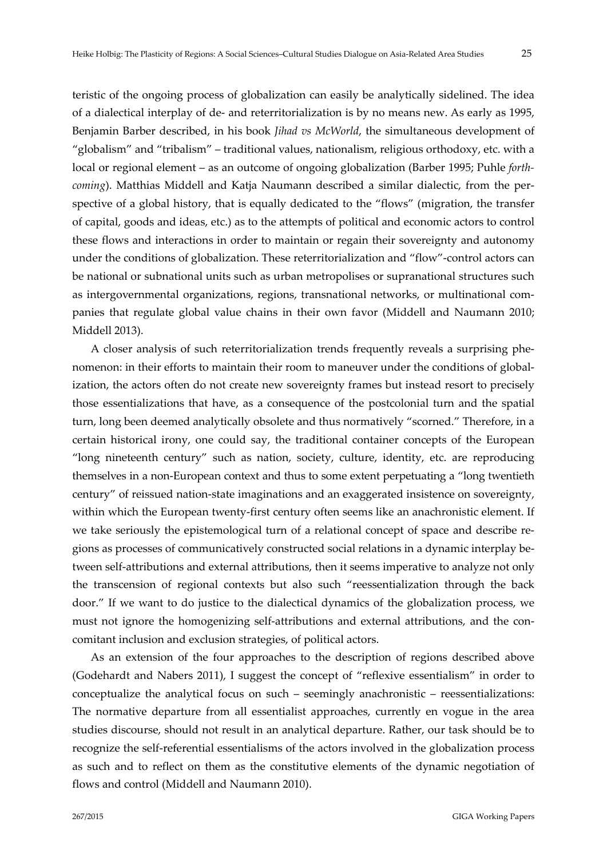teristic of the ongoing process of globalization can easily be analytically sidelined. The idea of a dialectical interplay of de‐ and reterritorialization is by no means new. As early as 1995, Benjamin Barber described, in his book *Jihad vs McWorld*, the simultaneous development of "globalism" and "tribalism" – traditional values, nationalism, religious orthodoxy, etc. with a local or regional element – as an outcome of ongoing globalization (Barber 1995; Puhle *forth‐ coming*). Matthias Middell and Katja Naumann described a similar dialectic, from the perspective of a global history, that is equally dedicated to the "flows" (migration, the transfer of capital, goods and ideas, etc.) as to the attempts of political and economic actors to control these flows and interactions in order to maintain or regain their sovereignty and autonomy under the conditions of globalization. These reterritorialization and "flow"‐control actors can be national or subnational units such as urban metropolises or supranational structures such as intergovernmental organizations, regions, transnational networks, or multinational companies that regulate global value chains in their own favor (Middell and Naumann 2010; Middell 2013).

A closer analysis of such reterritorialization trends frequently reveals a surprising phe‐ nomenon: in their efforts to maintain their room to maneuver under the conditions of globalization, the actors often do not create new sovereignty frames but instead resort to precisely those essentializations that have, as a consequence of the postcolonial turn and the spatial turn, long been deemed analytically obsolete and thus normatively "scorned." Therefore, in a certain historical irony, one could say, the traditional container concepts of the European "long nineteenth century" such as nation, society, culture, identity, etc. are reproducing themselves in a non‐European context and thus to some extent perpetuating a "long twentieth century" of reissued nation‐state imaginations and an exaggerated insistence on sovereignty, within which the European twenty-first century often seems like an anachronistic element. If we take seriously the epistemological turn of a relational concept of space and describe regions as processes of communicatively constructed social relations in a dynamic interplay be‐ tween self‐attributions and external attributions, then it seems imperative to analyze not only the transcension of regional contexts but also such "reessentialization through the back door." If we want to do justice to the dialectical dynamics of the globalization process, we must not ignore the homogenizing self-attributions and external attributions, and the concomitant inclusion and exclusion strategies, of political actors.

As an extension of the four approaches to the description of regions described above (Godehardt and Nabers 2011), I suggest the concept of "reflexive essentialism" in order to conceptualize the analytical focus on such – seemingly anachronistic – reessentializations: The normative departure from all essentialist approaches, currently en vogue in the area studies discourse, should not result in an analytical departure. Rather, our task should be to recognize the self‐referential essentialisms of the actors involved in the globalization process as such and to reflect on them as the constitutive elements of the dynamic negotiation of flows and control (Middell and Naumann 2010).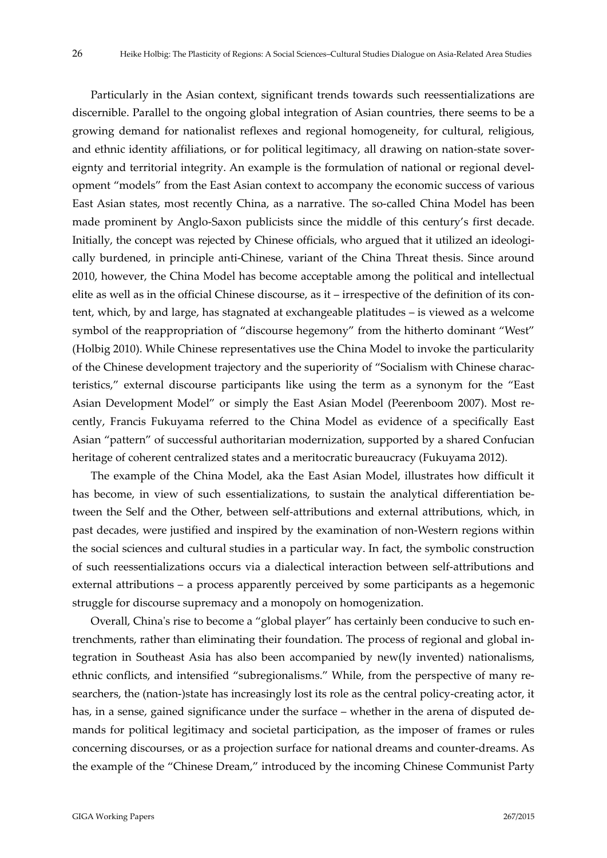Particularly in the Asian context, significant trends towards such reessentializations are discernible. Parallel to the ongoing global integration of Asian countries, there seems to be a growing demand for nationalist reflexes and regional homogeneity, for cultural, religious, and ethnic identity affiliations, or for political legitimacy, all drawing on nation-state sovereignty and territorial integrity. An example is the formulation of national or regional development "models" from the East Asian context to accompany the economic success of various East Asian states, most recently China, as a narrative. The so-called China Model has been made prominent by Anglo-Saxon publicists since the middle of this century's first decade. Initially, the concept was rejected by Chinese officials, who argued that it utilized an ideologically burdened, in principle anti‐Chinese, variant of the China Threat thesis. Since around 2010, however, the China Model has become acceptable among the political and intellectual elite as well as in the official Chinese discourse, as it – irrespective of the definition of its content, which, by and large, has stagnated at exchangeable platitudes – is viewed as a welcome symbol of the reappropriation of "discourse hegemony" from the hitherto dominant "West" (Holbig 2010). While Chinese representatives use the China Model to invoke the particularity of the Chinese development trajectory and the superiority of "Socialism with Chinese characteristics," external discourse participants like using the term as a synonym for the "East Asian Development Model" or simply the East Asian Model (Peerenboom 2007). Most re‐ cently, Francis Fukuyama referred to the China Model as evidence of a specifically East Asian "pattern" of successful authoritarian modernization, supported by a shared Confucian heritage of coherent centralized states and a meritocratic bureaucracy (Fukuyama 2012).

The example of the China Model, aka the East Asian Model, illustrates how difficult it has become, in view of such essentializations, to sustain the analytical differentiation between the Self and the Other, between self‐attributions and external attributions, which, in past decades, were justified and inspired by the examination of non‐Western regions within the social sciences and cultural studies in a particular way. In fact, the symbolic construction of such reessentializations occurs via a dialectical interaction between self‐attributions and external attributions – a process apparently perceived by some participants as a hegemonic struggle for discourse supremacy and a monopoly on homogenization.

Overall, China's rise to become a "global player" has certainly been conducive to such entrenchments, rather than eliminating their foundation. The process of regional and global in‐ tegration in Southeast Asia has also been accompanied by new(ly invented) nationalisms, ethnic conflicts, and intensified "subregionalisms." While, from the perspective of many researchers, the (nation-)state has increasingly lost its role as the central policy-creating actor, it has, in a sense, gained significance under the surface – whether in the arena of disputed demands for political legitimacy and societal participation, as the imposer of frames or rules concerning discourses, or as a projection surface for national dreams and counter‐dreams. As the example of the "Chinese Dream," introduced by the incoming Chinese Communist Party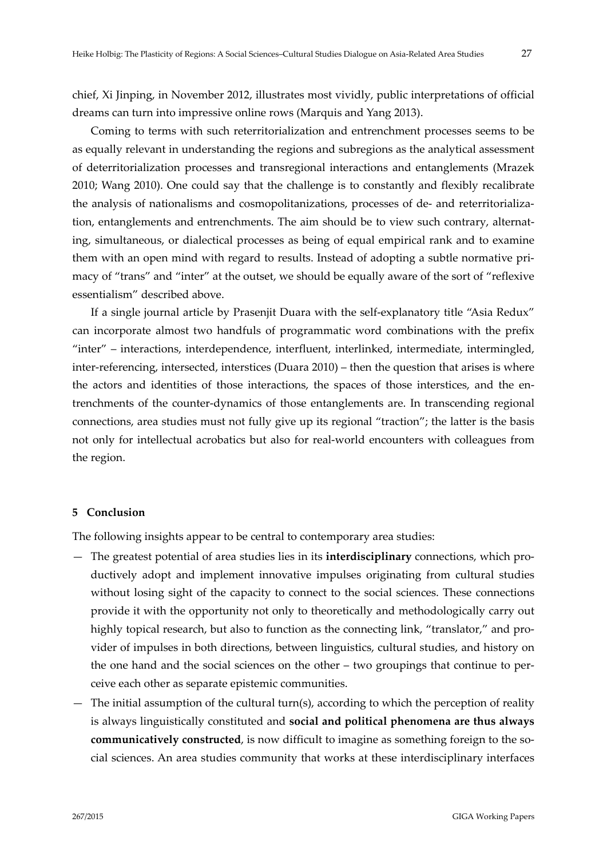dreams can turn into impressive online rows (Marquis and Yang 2013).

chief, Xi Jinping, in November 2012, illustrates most vividly, public interpretations of official

Coming to terms with such reterritorialization and entrenchment processes seems to be as equally relevant in understanding the regions and subregions as the analytical assessment of deterritorialization processes and transregional interactions and entanglements (Mrazek 2010; Wang 2010). One could say that the challenge is to constantly and flexibly recalibrate the analysis of nationalisms and cosmopolitanizations, processes of de‐ and reterritorializa‐ tion, entanglements and entrenchments. The aim should be to view such contrary, alternat‐ ing, simultaneous, or dialectical processes as being of equal empirical rank and to examine them with an open mind with regard to results. Instead of adopting a subtle normative pri‐ macy of "trans" and "inter" at the outset, we should be equally aware of the sort of "reflexive essentialism" described above.

If a single journal article by Prasenjit Duara with the self-explanatory title "Asia Redux" can incorporate almost two handfuls of programmatic word combinations with the prefix "inter" – interactions, interdependence, interfluent, interlinked, intermediate, intermingled, inter-referencing, intersected, interstices (Duara 2010) – then the question that arises is where the actors and identities of those interactions, the spaces of those interstices, and the entrenchments of the counter‐dynamics of those entanglements are. In transcending regional connections, area studies must not fully give up its regional "traction"; the latter is the basis not only for intellectual acrobatics but also for real‐world encounters with colleagues from the region.

### **5 Conclusion**

The following insights appear to be central to contemporary area studies:

- The greatest potential of area studies lies in its **interdisciplinary** connections, which pro‐ ductively adopt and implement innovative impulses originating from cultural studies without losing sight of the capacity to connect to the social sciences. These connections provide it with the opportunity not only to theoretically and methodologically carry out highly topical research, but also to function as the connecting link, "translator," and provider of impulses in both directions, between linguistics, cultural studies, and history on the one hand and the social sciences on the other – two groupings that continue to per‐ ceive each other as separate epistemic communities.
- The initial assumption of the cultural turn(s), according to which the perception of reality is always linguistically constituted and **social and political phenomena are thus always communicatively constructed**, is now difficult to imagine as something foreign to the so‐ cial sciences. An area studies community that works at these interdisciplinary interfaces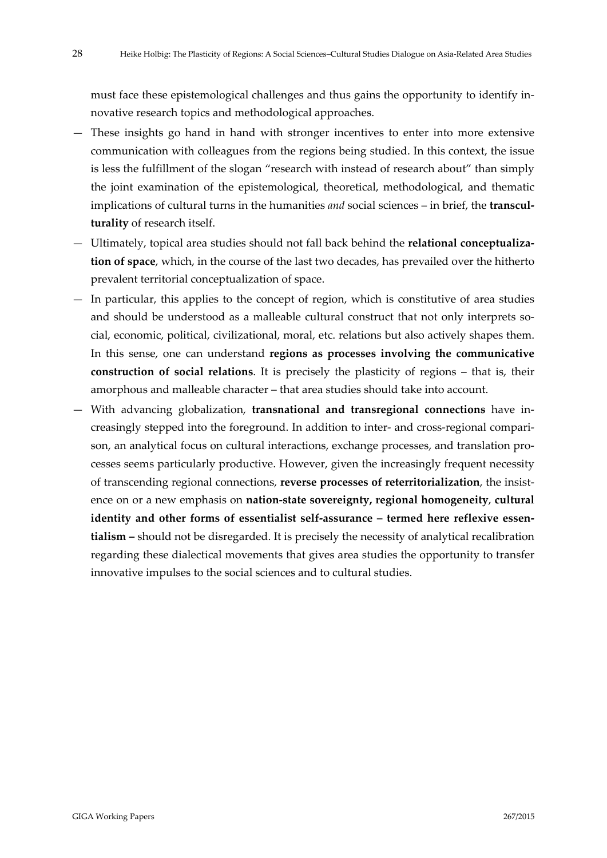must face these epistemological challenges and thus gains the opportunity to identify in‐ novative research topics and methodological approaches.

- These insights go hand in hand with stronger incentives to enter into more extensive communication with colleagues from the regions being studied. In this context, the issue is less the fulfillment of the slogan "research with instead of research about" than simply the joint examination of the epistemological, theoretical, methodological, and thematic implications of cultural turns in the humanities *and* social sciences – in brief, the **transculturality** of research itself.
- Ultimately, topical area studies should not fall back behind the **relational conceptualiza‐ tion of space**, which, in the course of the last two decades, has prevailed over the hitherto prevalent territorial conceptualization of space.
- In particular, this applies to the concept of region, which is constitutive of area studies and should be understood as a malleable cultural construct that not only interprets social, economic, political, civilizational, moral, etc. relations but also actively shapes them. In this sense, one can understand **regions as processes involving the communicative construction of social relations**. It is precisely the plasticity of regions – that is, their amorphous and malleable character – that area studies should take into account.
- With advancing globalization, **transnational and transregional connections** have in‐ creasingly stepped into the foreground. In addition to inter‐ and cross‐regional compari‐ son, an analytical focus on cultural interactions, exchange processes, and translation pro‐ cesses seems particularly productive. However, given the increasingly frequent necessity of transcending regional connections, **reverse processes of reterritorialization**, the insist‐ ence on or a new emphasis on **nation‐state sovereignty, regional homogeneity**, **cultural identity and other forms of essentialist self‐assurance – termed here reflexive essen‐ tialism –** should not be disregarded. It is precisely the necessity of analytical recalibration regarding these dialectical movements that gives area studies the opportunity to transfer innovative impulses to the social sciences and to cultural studies.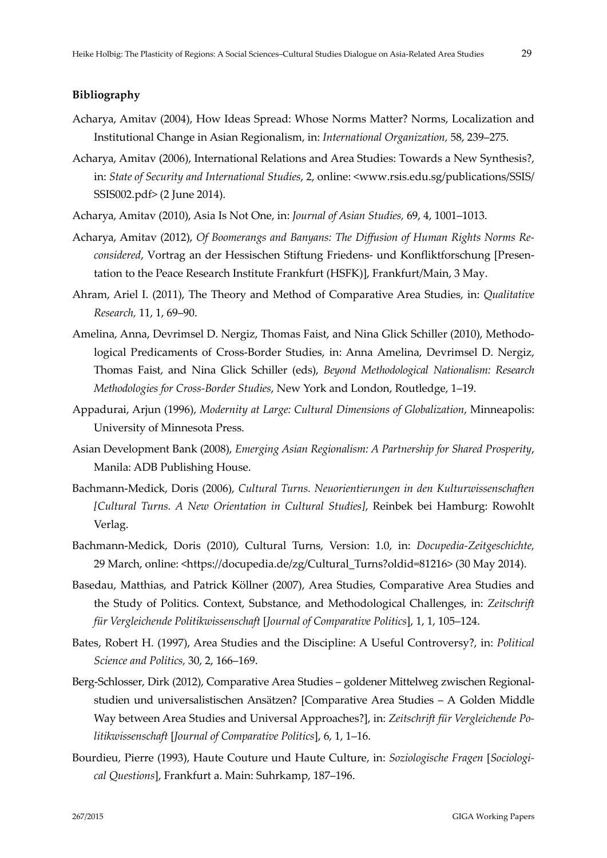### **Bibliography**

- Acharya, Amitav (2004), How Ideas Spread: Whose Norms Matter? Norms, Localization and Institutional Change in Asian Regionalism, in: *International Organization,* 58, 239‒275.
- Acharya, Amitav (2006), International Relations and Area Studies: Towards a New Synthesis?, in: *State of Security and International Studies*, 2, online: <www.rsis.edu.sg/publications/SSIS/ SSIS002.pdf> (2 June 2014).
- Acharya, Amitav (2010), Asia Is Not One, in: *Journal of Asian Studies*, 69, 4, 1001-1013.
- Acharya, Amitav (2012), *Of Boomerangs and Banyans: The Diffusion of Human Rights Norms Re‐ considered*, Vortrag an der Hessischen Stiftung Friedens‐ und Konfliktforschung [Presen‐ tation to the Peace Research Institute Frankfurt (HSFK)], Frankfurt/Main, 3 May.
- Ahram, Ariel I. (2011), The Theory and Method of Comparative Area Studies, in: *Qualitative Research,* 11, 1, 69‒90.
- Amelina, Anna, Devrimsel D. Nergiz, Thomas Faist, and Nina Glick Schiller (2010), Methodo‐ logical Predicaments of Cross‐Border Studies, in: Anna Amelina, Devrimsel D. Nergiz, Thomas Faist, and Nina Glick Schiller (eds), *Beyond Methodological Nationalism: Research Methodologies for Cross‐Border Studies*, New York and London, Routledge, 1‒19.
- Appadurai, Arjun (1996), *Modernity at Large: Cultural Dimensions of Globalization*, Minneapolis: University of Minnesota Press.
- Asian Development Bank (2008), *Emerging Asian Regionalism: A Partnership for Shared Prosperity*, Manila: ADB Publishing House.
- Bachmann‐Medick, Doris (2006), *Cultural Turns. Neuorientierungen in den Kulturwissenschaften [Cultural Turns. A New Orientation in Cultural Studies]*, Reinbek bei Hamburg: Rowohlt Verlag.
- Bachmann‐Medick, Doris (2010), Cultural Turns, Version: 1.0, in: *Docupedia‐Zeitgeschichte,* 29 March, online: <https://docupedia.de/zg/Cultural\_Turns?oldid=81216> (30 May 2014).
- Basedau, Matthias, and Patrick Köllner (2007), Area Studies, Comparative Area Studies and the Study of Politics. Context, Substance, and Methodological Challenges, in: *Zeitschrift für Vergleichende Politikwissenschaft* [*Journal of Comparative Politics*], 1, 1, 105‒124.
- Bates, Robert H. (1997), Area Studies and the Discipline: A Useful Controversy?, in: *Political Science and Politics,* 30, 2, 166‒169.
- Berg-Schlosser, Dirk (2012), Comparative Area Studies goldener Mittelweg zwischen Regionalstudien und universalistischen Ansätzen? [Comparative Area Studies – A Golden Middle Way between Area Studies and Universal Approaches?], in: *Zeitschrift für Vergleichende Po‐ litikwissenschaft* [*Journal of Comparative Politics*], 6, 1, 1‒16.
- Bourdieu, Pierre (1993), Haute Couture und Haute Culture, in: *Soziologische Fragen* [*Sociologi‐ cal Questions*], Frankfurt a. Main: Suhrkamp, 187‒196.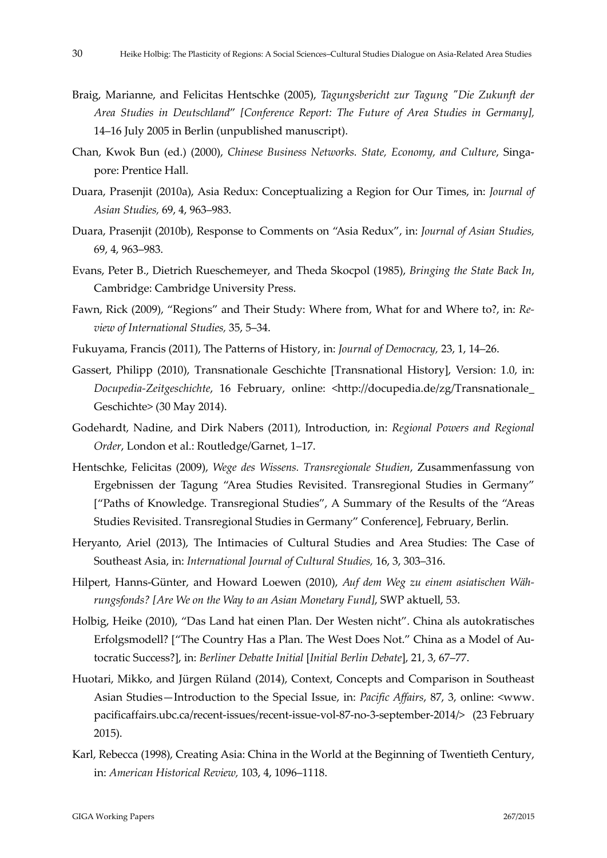- Braig, Marianne, and Felicitas Hentschke (2005), *Tagungsbericht zur Tagung* "Die Zukunft der *Area Studies in Deutschland*" *[Conference Report: The Future of Area Studies in Germany],* 14–16 July 2005 in Berlin (unpublished manuscript).
- Chan, Kwok Bun (ed.) (2000), *Chinese Business Networks. State, Economy, and Culture*, Singa‐ pore: Prentice Hall.
- Duara, Prasenjit (2010a), Asia Redux: Conceptualizing a Region for Our Times, in: *Journal of Asian Studies,* 69, 4, 963‒983.
- Duara, Prasenjit (2010b), Response to Comments on "Asia Redux", in: *Journal of Asian Studies,* 69, 4, 963‒983.
- Evans, Peter B., Dietrich Rueschemeyer, and Theda Skocpol (1985), *Bringing the State Back In*, Cambridge: Cambridge University Press.
- Fawn, Rick (2009), "Regions" and Their Study: Where from, What for and Where to?, in: *Re‐ view of International Studies,* 35, 5–34.
- Fukuyama, Francis (2011), The Patterns of History, in: *Journal of Democracy,* 23, 1, 14‒26.
- Gassert, Philipp (2010), Transnationale Geschichte [Transnational History], Version: 1.0, in: *Docupedia‐Zeitgeschichte*, 16 February, online: <http://docupedia.de/zg/Transnationale\_ Geschichte> (30 May 2014).
- Godehardt, Nadine, and Dirk Nabers (2011), Introduction, in: *Regional Powers and Regional* Order, London et al.: Routledge/Garnet, 1-17.
- Hentschke, Felicitas (2009), *Wege des Wissens. Transregionale Studien*, Zusammenfassung von Ergebnissen der Tagung "Area Studies Revisited. Transregional Studies in Germany" ["Paths of Knowledge. Transregional Studies", A Summary of the Results of the "Areas Studies Revisited. Transregional Studies in Germany" Conference], February, Berlin.
- Heryanto, Ariel (2013), The Intimacies of Cultural Studies and Area Studies: The Case of Southeast Asia, in: *International Journal of Cultural Studies,* 16, 3, 303‒316.
- Hilpert, Hanns‐Günter, and Howard Loewen (2010), *Auf dem Weg zu einem asiatischen Wäh‐ rungsfonds? [Are We on the Way to an Asian Monetary Fund]*, SWP aktuell, 53.
- Holbig, Heike (2010), "Das Land hat einen Plan. Der Westen nicht". China als autokratisches Erfolgsmodell? ["The Country Has a Plan. The West Does Not." China as a Model of Au‐ tocratic Success?], in: *Berliner Debatte Initial* [*Initial Berlin Debate*], 21, 3, 67‒77.
- Huotari, Mikko, and Jürgen Rüland (2014), Context, Concepts and Comparison in Southeast Asian Studies—Introduction to the Special Issue, in: *Pacific Affairs*, 87, 3, online: <www. pacificaffairs.ubc.ca/recent‐issues/recent‐issue‐vol‐87‐no‐3‐september‐2014/> (23 February 2015).
- Karl, Rebecca (1998), Creating Asia: China in the World at the Beginning of Twentieth Century, in: *American Historical Review,* 103, 4, 1096‒1118.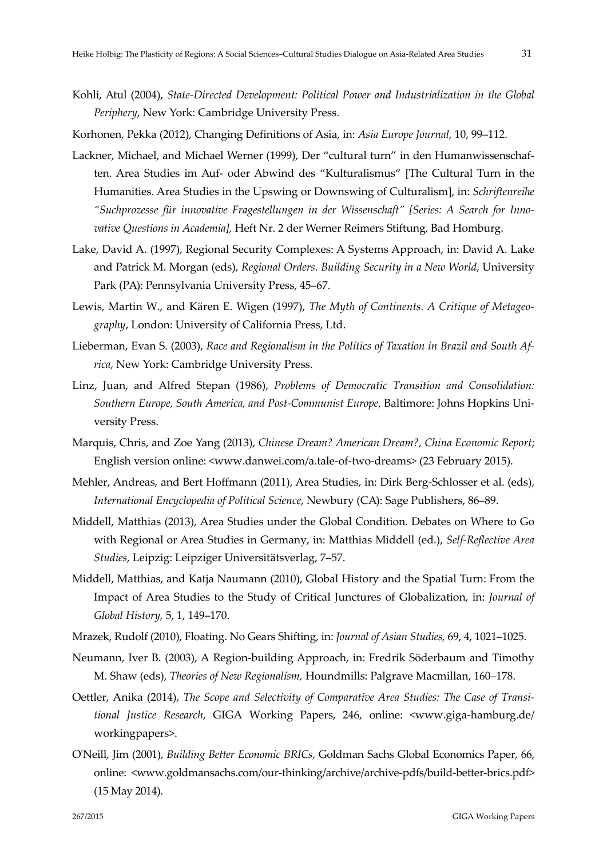- Kohli, Atul (2004), *State‐Directed Development: Political Power and Industrialization in the Global Periphery*, New York: Cambridge University Press.
- Korhonen, Pekka (2012), Changing Definitions of Asia, in: *Asia Europe Journal,* 10, 99‒112.
- Lackner, Michael, and Michael Werner (1999), Der "cultural turn" in den Humanwissenschaften. Area Studies im Auf‐ oder Abwind des "Kulturalismus" [The Cultural Turn in the Humanities. Area Studies in the Upswing or Downswing of Culturalism], in: *Schriftenreihe "Suchprozesse für innovative Fragestellungen in der Wissenschaft" [Series: A Search for Inno‐ vative Questions in Academia],* Heft Nr. 2 der Werner Reimers Stiftung, Bad Homburg.
- Lake, David A. (1997), Regional Security Complexes: A Systems Approach, in: David A. Lake and Patrick M. Morgan (eds), *Regional Orders. Building Security in a New World*, University Park (PA): Pennsylvania University Press, 45–67.
- Lewis, Martin W., and Kären E. Wigen (1997), *The Myth of Continents. A Critique of Metageo‐ graphy*, London: University of California Press, Ltd.
- Lieberman, Evan S. (2003), *Race and Regionalism in the Politics of Taxation in Brazil and South Af‐ rica*, New York: Cambridge University Press.
- Linz, Juan, and Alfred Stepan (1986), *Problems of Democratic Transition and Consolidation: Southern Europe, South America, and Post‐Communist Europe*, Baltimore: Johns Hopkins Uni‐ versity Press.
- Marquis, Chris, and Zoe Yang (2013), *Chinese Dream? American Dream?, China Economic Report*; English version online: <www.danwei.com/a.tale‐of‐two‐dreams> (23 February 2015).
- Mehler, Andreas, and Bert Hoffmann (2011), Area Studies, in: Dirk Berg‐Schlosser et al. (eds), *International Encyclopedia of Political Science*, Newbury (CA): Sage Publishers, 86‒89.
- Middell, Matthias (2013), Area Studies under the Global Condition. Debates on Where to Go with Regional or Area Studies in Germany, in: Matthias Middell (ed.), *Self‐Reflective Area Studies*, Leipzig: Leipziger Universitätsverlag, 7‒57.
- Middell, Matthias, and Katja Naumann (2010), Global History and the Spatial Turn: From the Impact of Area Studies to the Study of Critical Junctures of Globalization, in: *Journal of Global History,* 5, 1, 149‒170.
- Mrazek, Rudolf (2010), Floating. No Gears Shifting, in: *Journal of Asian Studies*, 69, 4, 1021–1025.
- Neumann, Iver B. (2003), A Region‐building Approach, in: Fredrik Söderbaum and Timothy M. Shaw (eds), *Theories of New Regionalism,* Houndmills: Palgrave Macmillan, 160‒178.
- Oettler, Anika (2014), *The Scope and Selectivity of Comparative Area Studies: The Case of Transi‐ tional Justice Research*, GIGA Working Papers, 246, online: <www.giga‐hamburg.de/ workingpapers>.
- OʹNeill, Jim (2001), *Building Better Economic BRICs*, Goldman Sachs Global Economics Paper, 66, online: <www.goldmansachs.com/our‐thinking/archive/archive‐pdfs/build‐better‐brics.pdf> (15 May 2014).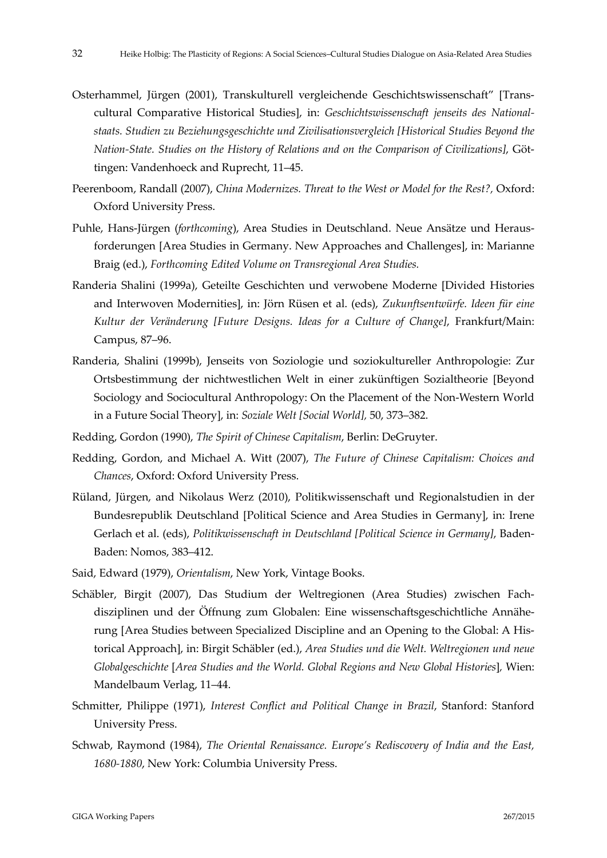- Osterhammel, Jürgen (2001), Transkulturell vergleichende Geschichtswissenschaft" [Trans‐ cultural Comparative Historical Studies], in: *Geschichtswissenschaft jenseits des National‐ staats. Studien zu Beziehungsgeschichte und Zivilisationsvergleich [Historical Studies Beyond the Nation‐State. Studies on the History of Relations and on the Comparison of Civilizations]*, Göt‐ tingen: Vandenhoeck and Ruprecht, 11-45.
- Peerenboom, Randall (2007), *China Modernizes. Threat to the West or Model for the Rest?,* Oxford: Oxford University Press.
- Puhle, Hans‐Jürgen (*forthcoming*), Area Studies in Deutschland. Neue Ansätze und Heraus‐ forderungen [Area Studies in Germany. New Approaches and Challenges], in: Marianne Braig (ed.), *Forthcoming Edited Volume on Transregional Area Studies.*
- Randeria Shalini (1999a), Geteilte Geschichten und verwobene Moderne [Divided Histories and Interwoven Modernities], in: Jörn Rüsen et al. (eds), *Zukunftsentwürfe. Ideen für eine Kultur der Veränderung [Future Designs. Ideas for a Culture of Change]*, Frankfurt/Main: Campus, 87-96.
- Randeria, Shalini (1999b), Jenseits von Soziologie und soziokultureller Anthropologie: Zur Ortsbestimmung der nichtwestlichen Welt in einer zukünftigen Sozialtheorie [Beyond Sociology and Sociocultural Anthropology: On the Placement of the Non‐Western World in a Future Social Theory], in: *Soziale Welt [Social World],* 50, 373‒382.
- Redding, Gordon (1990), *The Spirit of Chinese Capitalism*, Berlin: DeGruyter.
- Redding, Gordon, and Michael A. Witt (2007), *The Future of Chinese Capitalism: Choices and Chances*, Oxford: Oxford University Press.
- Rüland, Jürgen, and Nikolaus Werz (2010), Politikwissenschaft und Regionalstudien in der Bundesrepublik Deutschland [Political Science and Area Studies in Germany], in: Irene Gerlach et al. (eds), *Politikwissenschaft in Deutschland [Political Science in Germany]*, Baden‐ Baden: Nomos, 383‒412.
- Said, Edward (1979), *Orientalism*, New York, Vintage Books.
- Schäbler, Birgit (2007), Das Studium der Weltregionen (Area Studies) zwischen Fach‐ disziplinen und der Öffnung zum Globalen: Eine wissenschaftsgeschichtliche Annähe‐ rung [Area Studies between Specialized Discipline and an Opening to the Global: A His‐ torical Approach], in: Birgit Schäbler (ed.), *Area Studies und die Welt. Weltregionen und neue Globalgeschichte* [*Area Studies and the World. Global Regions and New Global Histories*]*,* Wien: Mandelbaum Verlag, 11-44.
- Schmitter, Philippe (1971), *Interest Conflict and Political Change in Brazil*, Stanford: Stanford University Press.
- Schwab, Raymond (1984), *The Oriental Renaissance. Europe's Rediscovery of India and the East, 1680‐1880*, New York: Columbia University Press.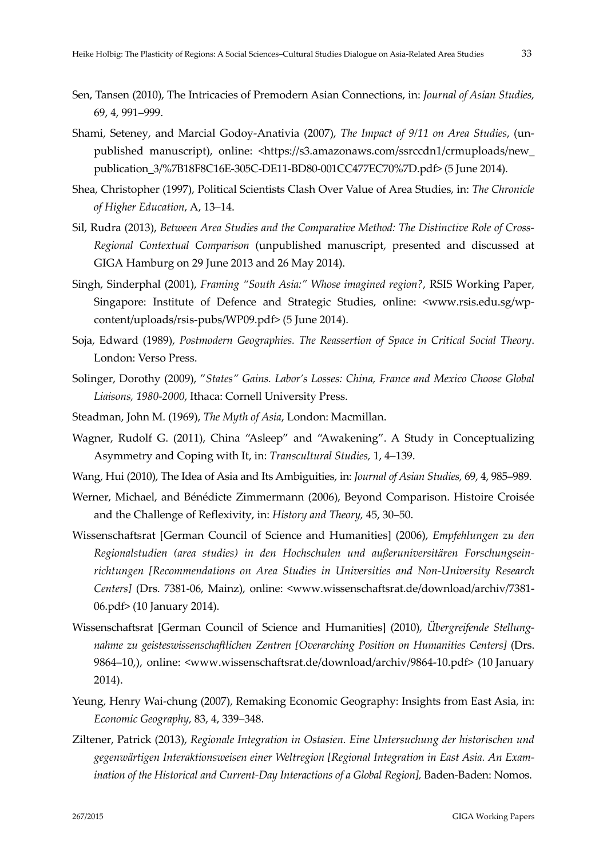- Sen, Tansen (2010), The Intricacies of Premodern Asian Connections, in: *Journal of Asian Studies,* 69, 4, 991-999.
- Shami, Seteney, and Marcial Godoy‐Anativia (2007), *The Impact of 9/11 on Area Studies*, (un‐ published manuscript), online: <https://s3.amazonaws.com/ssrccdn1/crmuploads/new\_ publication\_3/%7B18F8C16E‐305C‐DE11‐BD80‐001CC477EC70%7D.pdf> (5 June 2014).
- Shea, Christopher (1997), Political Scientists Clash Over Value of Area Studies, in: *The Chronicle of Higher Education*, A, 13‒14.
- Sil, Rudra (2013), *Between Area Studies and the Comparative Method: The Distinctive Role of Cross‐ Regional Contextual Comparison* (unpublished manuscript, presented and discussed at GIGA Hamburg on 29 June 2013 and 26 May 2014).
- Singh, Sinderphal (2001), *Framing "South Asia:" Whose imagined region?*, RSIS Working Paper, Singapore: Institute of Defence and Strategic Studies, online: <www.rsis.edu.sg/wp‐ content/uploads/rsis‐pubs/WP09.pdf> (5 June 2014).
- Soja, Edward (1989), *Postmodern Geographies. The Reassertion of Space in Critical Social Theory*. London: Verso Press.
- Solinger, Dorothy (2009), "*States" Gains. Labor's Losses: China, France and Mexico Choose Global Liaisons, 1980‐2000*, Ithaca: Cornell University Press.
- Steadman, John M. (1969), *The Myth of Asia*, London: Macmillan.
- Wagner, Rudolf G. (2011), China "Asleep" and "Awakening". A Study in Conceptualizing Asymmetry and Coping with It, in: *Transcultural Studies,* 1, 4‒139.
- Wang, Hui (2010), The Idea of Asia and Its Ambiguities, in: *Journal of Asian Studies,* 69, 4, 985‒989.
- Werner, Michael, and Bénédicte Zimmermann (2006), Beyond Comparison. Histoire Croisée and the Challenge of Reflexivity, in: *History and Theory*, 45, 30-50.
- Wissenschaftsrat [German Council of Science and Humanities] (2006), *Empfehlungen zu den Regionalstudien (area studies) in den Hochschulen und außeruniversitären Forschungsein‐ richtungen [Recommendations on Area Studies in Universities and Non‐University Research Centers]* (Drs. 7381‐06, Mainz), online: <www.wissenschaftsrat.de/download/archiv/7381‐ 06.pdf> (10 January 2014).
- Wissenschaftsrat [German Council of Science and Humanities] (2010), *Übergreifende Stellung‐ nahme zu geisteswissenschaftlichen Zentren [Overarching Position on Humanities Centers]* (Drs. 9864–10,), online: <www.wissenschaftsrat.de/download/archiv/9864-10.pdf> (10 January 2014).
- Yeung, Henry Wai-chung (2007), Remaking Economic Geography: Insights from East Asia, in: *Economic Geography,* 83, 4, 339‒348.
- Ziltener, Patrick (2013), *Regionale Integration in Ostasien. Eine Untersuchung der historischen und gegenwärtigen Interaktionsweisen einer Weltregion [Regional Integration in East Asia. An Exam‐ ination of the Historical and Current‐Day Interactions of a Global Region],* Baden‐Baden: Nomos.